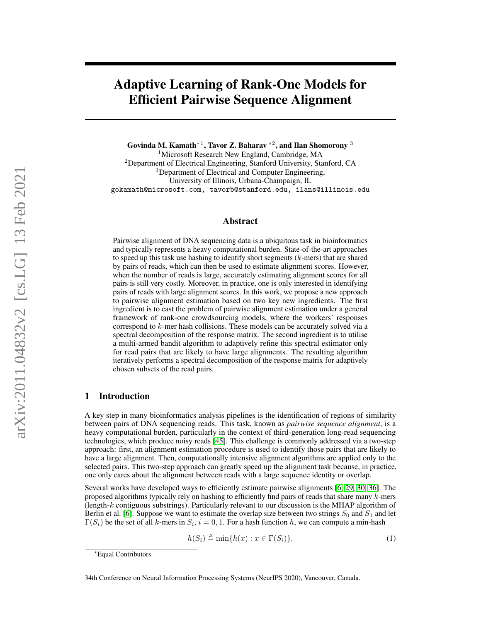## Adaptive Learning of Rank-One Models for Efficient Pairwise Sequence Alignment

Govinda M. Kamath\* $^1$ , Tavor Z. Baharav \* $^2$ , and Ilan Shomorony  $^3$ 

<sup>1</sup>Microsoft Research New England, Cambridge, MA <sup>2</sup>Department of Electrical Engineering, Stanford University, Stanford, CA <sup>3</sup>Department of Electrical and Computer Engineering, University of Illinois, Urbana-Champaign, IL gokamath@microsoft.com, tavorb@stanford.edu, ilans@illinois.edu

### Abstract

Pairwise alignment of DNA sequencing data is a ubiquitous task in bioinformatics and typically represents a heavy computational burden. State-of-the-art approaches to speed up this task use hashing to identify short segments  $(k$ -mers) that are shared by pairs of reads, which can then be used to estimate alignment scores. However, when the number of reads is large, accurately estimating alignment scores for all pairs is still very costly. Moreover, in practice, one is only interested in identifying pairs of reads with large alignment scores. In this work, we propose a new approach to pairwise alignment estimation based on two key new ingredients. The first ingredient is to cast the problem of pairwise alignment estimation under a general framework of rank-one crowdsourcing models, where the workers' responses correspond to k-mer hash collisions. These models can be accurately solved via a spectral decomposition of the response matrix. The second ingredient is to utilise a multi-armed bandit algorithm to adaptively refine this spectral estimator only for read pairs that are likely to have large alignments. The resulting algorithm iteratively performs a spectral decomposition of the response matrix for adaptively chosen subsets of the read pairs.

### <span id="page-0-0"></span>1 Introduction

A key step in many bioinformatics analysis pipelines is the identification of regions of similarity between pairs of DNA sequencing reads. This task, known as *pairwise sequence alignment*, is a heavy computational burden, particularly in the context of third-generation long-read sequencing technologies, which produce noisy reads [\[45\]](#page-14-0). This challenge is commonly addressed via a two-step approach: first, an alignment estimation procedure is used to identify those pairs that are likely to have a large alignment. Then, computationally intensive alignment algorithms are applied only to the selected pairs. This two-step approach can greatly speed up the alignment task because, in practice, one only cares about the alignment between reads with a large sequence identity or overlap.

Several works have developed ways to efficiently estimate pairwise alignments [\[6,](#page-12-0) [29,](#page-13-0) [30,](#page-13-1) [36\]](#page-13-2). The proposed algorithms typically rely on hashing to efficiently find pairs of reads that share many  $k$ -mers (length- $k$  contiguous substrings). Particularly relevant to our discussion is the MHAP algorithm of Berlin et al. [\[6\]](#page-12-0). Suppose we want to estimate the overlap size between two strings  $S_0$  and  $S_1$  and let  $\Gamma(S_i)$  be the set of all k-mers in  $S_i$ ,  $i = 0, 1$ . For a hash function h, we can compute a min-hash

$$
h(S_i) \triangleq \min\{h(x) : x \in \Gamma(S_i)\},\tag{1}
$$

<sup>∗</sup>Equal Contributors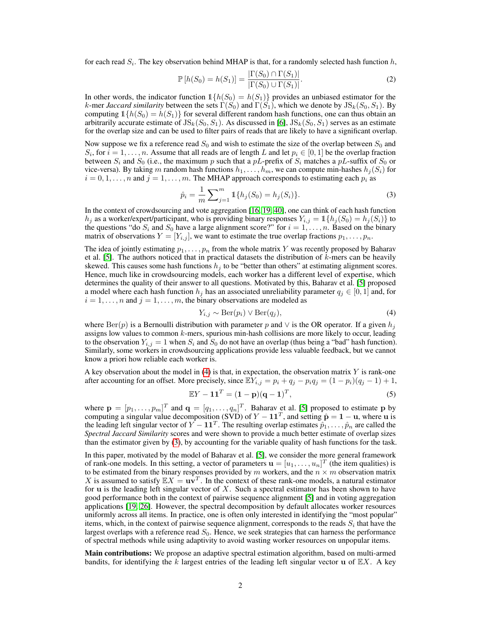for each read  $S_i$ . The key observation behind MHAP is that, for a randomly selected hash function  $h$ ,

$$
\mathbb{P}\left[h(S_0) = h(S_1)\right] = \frac{\left|\Gamma(S_0) \cap \Gamma(S_1)\right|}{\left|\Gamma(S_0) \cup \Gamma(S_1)\right|}.\tag{2}
$$

In other words, the indicator function  $1\{h(S_0) = h(S_1)\}\$  provides an unbiased estimator for the k-mer *Jaccard similarity* between the sets  $\Gamma(S_0)$  and  $\Gamma(S_1)$ , which we denote by  $JS_k(S_0, S_1)$ . By computing  $1\{h(S_0) = h(S_1)\}\$  for several different random hash functions, one can thus obtain an arbitrarily accurate estimate of  $JS_k(S_0, S_1)$ . As discussed in [\[6\]](#page-12-0),  $JS_k(S_0, S_1)$  serves as an estimate for the overlap size and can be used to filter pairs of reads that are likely to have a significant overlap.

Now suppose we fix a reference read  $S_0$  and wish to estimate the size of the overlap between  $S_0$  and  $S_i$ , for  $i = 1, \ldots, n$ . Assume that all reads are of length L and let  $p_i \in [0, 1]$  be the overlap fraction between  $S_i$  and  $S_0$  (i.e., the maximum p such that a pL-prefix of  $S_i$  matches a pL-suffix of  $S_0$  or vice-versa). By taking m random hash functions  $h_1, \ldots, h_m$ , we can compute min-hashes  $h_j(S_i)$  for  $i = 0, 1, \ldots, n$  and  $j = 1, \ldots, m$ . The MHAP approach corresponds to estimating each  $p_i$  as

<span id="page-1-1"></span>
$$
\hat{p}_i = \frac{1}{m} \sum_{j=1}^m \mathbb{1}\{h_j(S_0) = h_j(S_i)\}.
$$
\n(3)

In the context of crowdsourcing and vote aggregation [\[16,](#page-12-1) [19,](#page-13-3) [40\]](#page-14-1), one can think of each hash function  $h_j$  as a worker/expert/participant, who is providing binary responses  $Y_{i,j} = \mathbb{1}\{h_j(S_0) = h_j(S_i)\}\$ to the questions "do  $S_i$  and  $S_0$  have a large alignment score?" for  $i = 1, ..., n$ . Based on the binary matrix of observations  $Y = [Y_{i,j}]$ , we want to estimate the true overlap fractions  $p_1, \ldots, p_n$ .

The idea of jointly estimating  $p_1, \ldots, p_n$  from the whole matrix Y was recently proposed by Baharav et al. [\[5\]](#page-12-2). The authors noticed that in practical datasets the distribution of  $k$ -mers can be heavily skewed. This causes some hash functions  $h_j$  to be "better than others" at estimating alignment scores. Hence, much like in crowdsourcing models, each worker has a different level of expertise, which determines the quality of their answer to all questions. Motivated by this, Baharav et al. [\[5\]](#page-12-2) proposed a model where each hash function  $h_j$  has an associated unreliability parameter  $q_j \in [0, 1]$  and, for  $i = 1, \ldots, n$  and  $j = 1, \ldots, m$ , the binary observations are modeled as

<span id="page-1-0"></span>
$$
Y_{i,j} \sim \text{Ber}(p_i) \lor \text{Ber}(q_j),\tag{4}
$$

where  $\text{Ber}(p)$  is a Bernoulli distribution with parameter p and  $\vee$  is the OR operator. If a given  $h_j$ assigns low values to common  $k$ -mers, spurious min-hash collisions are more likely to occur, leading to the observation  $Y_{i,j} = 1$  when  $S_i$  and  $S_0$  do not have an overlap (thus being a "bad" hash function). Similarly, some workers in crowdsourcing applications provide less valuable feedback, but we cannot know a priori how reliable each worker is.

A key observation about the model in  $(4)$  is that, in expectation, the observation matrix Y is rank-one after accounting for an offset. More precisely, since  $\mathbb{E}Y_{i,j} = p_i + q_j - p_iq_j = (1 - p_i)(q_i - 1) + 1$ ,

$$
\mathbb{E}Y - \mathbf{1}\mathbf{1}^T = (\mathbf{1} - \mathbf{p})(\mathbf{q} - \mathbf{1})^T, \tag{5}
$$

where  $\mathbf{p} = [p_1, \dots, p_m]^T$  and  $\mathbf{q} = [q_1, \dots, q_n]^T$ . Baharav et al. [\[5\]](#page-12-2) proposed to estimate p by computing a singular value decomposition (SVD) of  $Y - 11^T$ , and setting  $\hat{\mathbf{p}} = 1 - \mathbf{u}$ , where  $\mathbf{u}$  is the leading left singular vector of  $Y - 11^T$ . The resulting overlap estimates  $\hat{p}_1, \ldots, \hat{p}_n$  are called the *Spectral Jaccard Similarity* scores and were shown to provide a much better estimate of overlap sizes than the estimator given by [\(3\)](#page-1-1), by accounting for the variable quality of hash functions for the task.

In this paper, motivated by the model of Baharav et al. [\[5\]](#page-12-2), we consider the more general framework of rank-one models. In this setting, a vector of parameters  $\mathbf{u} = [u_1, \dots, u_n]^T$  (the item qualities) is to be estimated from the binary responses provided by m workers, and the  $n \times m$  observation matrix X is assumed to satisfy  $\mathbb{E}X = uv^T$ . In the context of these rank-one models, a natural estimator for  $\bf{u}$  is the leading left singular vector of X. Such a spectral estimator has been shown to have good performance both in the context of pairwise sequence alignment [\[5\]](#page-12-2) and in voting aggregation applications [\[19,](#page-13-3) [26\]](#page-13-4). However, the spectral decomposition by default allocates worker resources uniformly across all items. In practice, one is often only interested in identifying the "most popular" items, which, in the context of pairwise sequence alignment, corresponds to the reads  $S_i$  that have the largest overlaps with a reference read  $S_0$ . Hence, we seek strategies that can harness the performance of spectral methods while using adaptivity to avoid wasting worker resources on unpopular items.

Main contributions: We propose an adaptive spectral estimation algorithm, based on multi-armed bandits, for identifying the k largest entries of the leading left singular vector u of  $\mathbb{E}X$ . A key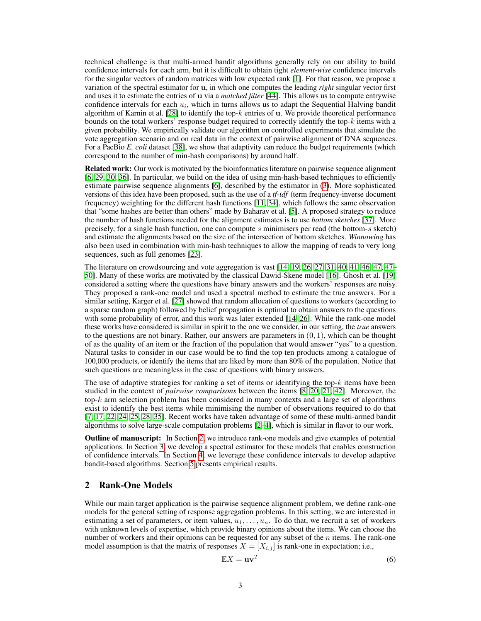technical challenge is that multi-armed bandit algorithms generally rely on our ability to build confidence intervals for each arm, but it is difficult to obtain tight *element-wise* confidence intervals for the singular vectors of random matrices with low expected rank [\[1\]](#page-12-3). For that reason, we propose a variation of the spectral estimator for u, in which one computes the leading *right* singular vector first and uses it to estimate the entries of u via a *matched filter* [\[44\]](#page-14-2). This allows us to compute entrywise confidence intervals for each  $u_i$ , which in turns allows us to adapt the Sequential Halving bandit algorithm of Karnin et al.  $[28]$  to identify the top- $k$  entries of u. We provide theoretical performance bounds on the total workers' response budget required to correctly identify the top-k items with a given probability. We empirically validate our algorithm on controlled experiments that simulate the vote aggregation scenario and on real data in the context of pairwise alignment of DNA sequences. For a PacBio *E. coli* dataset [\[38\]](#page-14-3), we show that adaptivity can reduce the budget requirements (which correspond to the number of min-hash comparisons) by around half.

Related work: Our work is motivated by the bioinformatics literature on pairwise sequence alignment [\[6,](#page-12-0) [29,](#page-13-0) [30,](#page-13-1) [36\]](#page-13-2). In particular, we build on the idea of using min-hash-based techniques to efficiently estimate pairwise sequence alignments [\[6\]](#page-12-0), described by the estimator in [\(3\)](#page-1-1). More sophisticated versions of this idea have been proposed, such as the use of a *tf-idf* (term frequency-inverse document frequency) weighting for the different hash functions [\[11,](#page-12-4) [34\]](#page-13-6), which follows the same observation that "some hashes are better than others" made by Baharav et al. [\[5\]](#page-12-2). A proposed strategy to reduce the number of hash functions needed for the alignment estimates is to use *bottom sketches* [\[37\]](#page-13-7). More precisely, for a single hash function, one can compute s minimisers per read (the bottom-s sketch) and estimate the alignments based on the size of the intersection of bottom sketches. *Winnowing* has also been used in combination with min-hash techniques to allow the mapping of reads to very long sequences, such as full genomes [\[23\]](#page-13-8).

The literature on crowdsourcing and vote aggregation is vast [\[14,](#page-12-5) [19,](#page-13-3) [26,](#page-13-4) [27,](#page-13-9) [31,](#page-13-10) [40,](#page-14-1) [41,](#page-14-4) [46,](#page-14-5) [47,](#page-14-6) [47–](#page-14-6) [50\]](#page-14-7). Many of these works are motivated by the classical Dawid-Skene model [\[16\]](#page-12-1). Ghosh et al. [\[19\]](#page-13-3) considered a setting where the questions have binary answers and the workers' responses are noisy. They proposed a rank-one model and used a spectral method to estimate the true answers. For a similar setting, Karger et al. [\[27\]](#page-13-9) showed that random allocation of questions to workers (according to a sparse random graph) followed by belief propagation is optimal to obtain answers to the questions with some probability of error, and this work was later extended [\[14,](#page-12-5) [26\]](#page-13-4). While the rank-one model these works have considered is similar in spirit to the one we consider, in our setting, the *true* answers to the questions are not binary. Rather, our answers are parameters in  $(0, 1)$ , which can be thought of as the quality of an item or the fraction of the population that would answer "yes" to a question. Natural tasks to consider in our case would be to find the top ten products among a catalogue of 100,000 products, or identify the items that are liked by more than 80% of the population. Notice that such questions are meaningless in the case of questions with binary answers.

The use of adaptive strategies for ranking a set of items or identifying the top- $k$  items have been studied in the context of *pairwise comparisons* between the items [\[8,](#page-12-6) [20,](#page-13-11) [21,](#page-13-12) [42\]](#page-14-8). Moreover, the top- $k$  arm selection problem has been considered in many contexts and a large set of algorithms exist to identify the best items while minimising the number of observations required to do that [\[7,](#page-12-7) [17,](#page-12-8) [22,](#page-13-13) [24,](#page-13-14) [25,](#page-13-15) [28,](#page-13-5) [35\]](#page-13-16). Recent works have taken advantage of some of these multi-armed bandit algorithms to solve large-scale computation problems [\[2](#page-12-9)[–4\]](#page-12-10), which is similar in flavor to our work.

Outline of manuscript: In Section [2,](#page-2-0) we introduce rank-one models and give examples of potential applications. In Section [3,](#page-4-0) we develop a spectral estimator for these models that enables construction of confidence intervals. In Section [4,](#page-5-0) we leverage these confidence intervals to develop adaptive bandit-based algorithms. Section [5](#page-9-0) presents empirical results.

## <span id="page-2-0"></span>2 Rank-One Models

While our main target application is the pairwise sequence alignment problem, we define rank-one models for the general setting of response aggregation problems. In this setting, we are interested in estimating a set of parameters, or item values,  $u_1, \ldots, u_n$ . To do that, we recruit a set of workers with unknown levels of expertise, which provide binary opinions about the items. We can choose the number of workers and their opinions can be requested for any subset of the  $n$  items. The rank-one model assumption is that the matrix of responses  $X = [X_{i,j}]$  is rank-one in expectation; i.e.,

$$
\mathbb{E}X = \mathbf{u}\mathbf{v}^T \tag{6}
$$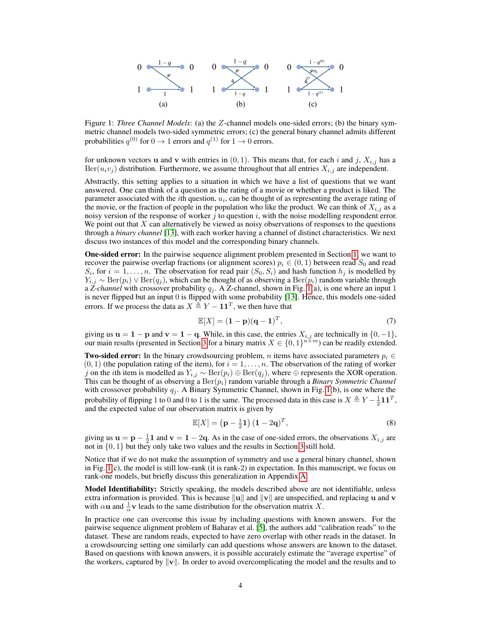<span id="page-3-0"></span>

Figure 1: *Three Channel Models*: (a) the Z-channel models one-sided errors; (b) the binary symmetric channel models two-sided symmetric errors; (c) the general binary channel admits different probabilities  $q^{(0)}$  for  $0 \to 1$  errors and  $q^{(1)}$  for  $1 \to 0$  errors.

for unknown vectors **u** and **v** with entries in  $(0, 1)$ . This means that, for each i and j,  $X_{i,j}$  has a  $\text{Ber}(u_i v_j)$  distribution. Furthermore, we assume throughout that all entries  $X_{i,j}$  are independent.

Abstractly, this setting applies to a situation in which we have a list of questions that we want answered. One can think of a question as the rating of a movie or whether a product is liked. The parameter associated with the *i*th question,  $u_i$ , can be thought of as representing the average rating of the movie, or the fraction of people in the population who like the product. We can think of  $X_{i,j}$  as a noisy version of the response of worker  $j$  to question  $i$ , with the noise modelling respondent error. We point out that X can alternatively be viewed as noisy observations of responses to the questions through a *binary channel* [\[13\]](#page-12-11), with each worker having a channel of distinct characteristics. We next discuss two instances of this model and the corresponding binary channels.

One-sided error: In the pairwise sequence alignment problem presented in Section [1,](#page-0-0) we want to recover the pairwise overlap fractions (or alignment scores)  $p_i \in (0,1)$  between read  $S_0$  and read  $S_i$ , for  $i = 1, \ldots, n$ . The observation for read pair  $(S_0, S_i)$  and hash function  $h_j$  is modelled by  $Y_{i,j} \sim \text{Ber}(p_i) \vee \text{Ber}(q_j)$ , which can be thought of as observing a  $\text{Ber}(p_i)$  random variable through a *Z-channel* with crossover probability  $q_j$ . A Z-channel, shown in Fig. [1\(](#page-3-0)a), is one where an input 1 is never flipped but an input 0 is flipped with some probability [\[13\]](#page-12-11). Hence, this models one-sided errors. If we process the data as  $X \triangleq Y - 11^T$ , we then have that

$$
\mathbb{E}[X] = (\mathbf{1} - \mathbf{p})(\mathbf{q} - \mathbf{1})^T,\tag{7}
$$

giving us  $u = 1 - p$  and  $v = 1 - q$ . While, in this case, the entries  $X_{i,j}$  are technically in  $\{0, -1\}$ , our main results (presented in Section [3](#page-4-0) for a binary matrix  $X \in \{0,1\}^{n \times m}$ ) can be readily extended.

**Two-sided error:** In the binary crowdsourcing problem, *n* items have associated parameters  $p_i \in$  $(0, 1)$  (the population rating of the item), for  $i = 1, \ldots, n$ . The observation of the rating of worker j on the ith item is modelled as  $Y_{i,j} \sim \text{Ber}(p_i) \oplus \text{Ber}(q_j)$ , where ⊕ represents the XOR operation. This can be thought of as observing a  $Ber(p_i)$  random variable through a *Binary Symmetric Channel* with crossover probability  $q_i$ . A Binary Symmetric Channel, shown in Fig. [1\(](#page-3-0)b), is one where the probability of flipping 1 to 0 and 0 to 1 is the same. The processed data in this case is  $X \triangleq Y - \frac{1}{2} \mathbf{1} \mathbf{1}^T$ , and the expected value of our observation matrix is given by

<span id="page-3-1"></span>
$$
\mathbb{E}[X] = \left(\mathbf{p} - \frac{1}{2}\mathbf{1}\right) \left(\mathbf{1} - 2\mathbf{q}\right)^T, \tag{8}
$$

giving us  $\mathbf{u} = \mathbf{p} - \frac{1}{2}\mathbf{1}$  and  $\mathbf{v} = \mathbf{1} - 2\mathbf{q}$ . As in the case of one-sided errors, the observations  $X_{i,j}$  are not in  $\{0, 1\}$  but they only take two values and the results in Section [3](#page-4-0) still hold.

Notice that if we do not make the assumption of symmetry and use a general binary channel, shown in Fig. [1\(](#page-3-0)c), the model is still low-rank (it is rank-2) in expectation. In this manuscript, we focus on rank-one models, but briefly discuss this generalization in Appendix [A.](#page-15-0)

Model Identifiability: Strictly speaking, the models described above are not identifiable, unless extra information is provided. This is because ||u|| and ||v|| are unspecified, and replacing u and v with  $\alpha$ **u** and  $\frac{1}{\alpha}$ **v** leads to the same distribution for the observation matrix X.

In practice one can overcome this issue by including questions with known answers. For the pairwise sequence alignment problem of Baharav et al. [\[5\]](#page-12-2), the authors add "calibration reads" to the dataset. These are random reads, expected to have zero overlap with other reads in the dataset. In a crowdsourcing setting one similarly can add questions whose answers are known to the dataset. Based on questions with known answers, it is possible accurately estimate the "average expertise" of the workers, captured by  $\|\mathbf{v}\|$ . In order to avoid overcomplicating the model and the results and to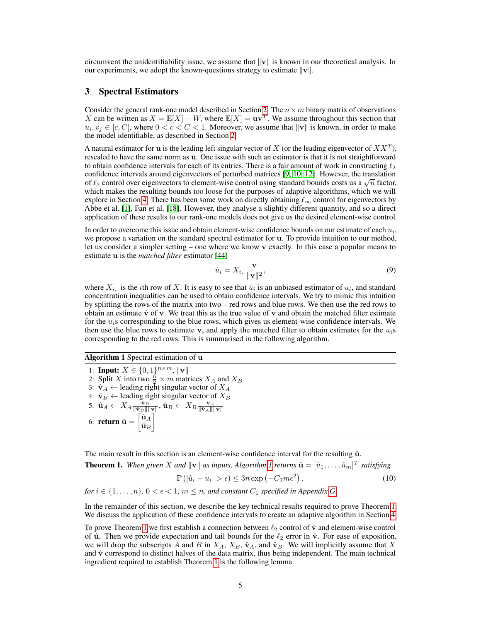circumvent the unidentifiability issue, we assume that  $||v||$  is known in our theoretical analysis. In our experiments, we adopt the known-questions strategy to estimate  $||\mathbf{v}||$ .

### <span id="page-4-0"></span>3 Spectral Estimators

Consider the general rank-one model described in Section [2.](#page-2-0) The  $n \times m$  binary matrix of observations X can be written as  $X = \mathbb{E}[X] + W$ , where  $\mathbb{E}[X] = \mathbf{u}\mathbf{v}^T$ . We assume throughout this section that  $u_i, v_j \in [c, C]$ , where  $0 < c < C < 1$ . Moreover, we assume that  $\|\mathbf{v}\|$  is known, in order to make the model identifiable, as described in Section [2.](#page-2-0)

A natural estimator for **u** is the leading left singular vector of X (or the leading eigenvector of  $XX<sup>T</sup>$ ), rescaled to have the same norm as u. One issue with such an estimator is that it is not straightforward to obtain confidence intervals for each of its entries. There is a fair amount of work in constructing  $\ell_2$ confidence intervals around eigenvectors of perturbed matrices [\[9,](#page-12-12) [10,](#page-12-13) [12\]](#page-12-14). However, the translation confidence intervals around eigenvectors of perturbed matrices [9, 10, 12]. However, the translation of  $\ell_2$  control over eigenvectors to element-wise control using standard bounds costs us a  $\sqrt{n}$  factor, which makes the resulting bounds too loose for the purposes of adaptive algorithms, which we will explore in Section [4.](#page-5-0) There has been some work on directly obtaining  $\ell_{\infty}$  control for eigenvectors by Abbe et al. [\[1\]](#page-12-3), Fan et al. [\[18\]](#page-12-15). However, they analyse a slightly different quantity, and so a direct application of these results to our rank-one models does not give us the desired element-wise control.

In order to overcome this issue and obtain element-wise confidence bounds on our estimate of each  $u_i$ , we propose a variation on the standard spectral estimator for u. To provide intuition to our method, let us consider a simpler setting – one where we know v exactly. In this case a popular means to estimate u is the *matched filter* estimator [\[44\]](#page-14-2)

$$
\hat{u}_i = X_{i, \cdot} \frac{\mathbf{v}}{\|\mathbf{v}\|^2},\tag{9}
$$

where  $X_{i,j}$  is the *i*th row of X. It is easy to see that  $\hat{u}_i$  is an unbiased estimator of  $u_i$ , and standard concentration inequalities can be used to obtain confidence intervals. We try to mimic this intuition by splitting the rows of the matrix into two – red rows and blue rows. We then use the red rows to obtain an estimate  $\hat{v}$  of v. We treat this as the true value of v and obtain the matched filter estimate for the  $u_i$ s corresponding to the blue rows, which gives us element-wise confidence intervals. We then use the blue rows to estimate v, and apply the matched filter to obtain estimates for the  $u_i$ s corresponding to the red rows. This is summarised in the following algorithm.

<span id="page-4-1"></span>Algorithm 1 Spectral estimation of u

1: **Input:**  $X \in \{0, 1\}^{n \times m}, ||\mathbf{v}||$ 2: Split X into two  $\frac{n}{2} \times m$  matrices  $X_A$  and  $X_B$ 3:  $\hat{v}_A \leftarrow$  leading right singular vector of  $X_A$ 4:  $\hat{\mathbf{v}}_B \leftarrow$  leading right singular vector of  $X_B$  $\hat{\mathbf{u}}_A \leftarrow X_A \frac{\hat{\mathbf{v}}_B}{\|\hat{\mathbf{v}}_B\|\|\mathbf{v}\|}, \hat{\mathbf{u}}_B \leftarrow X_B \frac{\hat{\mathbf{v}}_A}{\|\hat{\mathbf{v}}_A\|\|\mathbf{v}\|}$ 6: **return**  $\hat{\mathbf{u}} = \begin{bmatrix} \hat{\mathbf{u}}_A \\ \hat{\mathbf{u}}_A \end{bmatrix}$  $\hat{\bf u}_B$ 1

The main result in this section is an element-wise confidence interval for the resulting  $\hat{u}$ .

<span id="page-4-2"></span>**Theorem [1](#page-4-1).** When given X and  $\|\mathbf{v}\|$  as inputs, Algorithm 1 returns  $\hat{\mathbf{u}} = [\hat{u}_1, \dots, \hat{u}_m]^T$  satisfying

$$
\mathbb{P}\left(|\hat{u}_i - u_i| > \epsilon\right) \le 3n \exp\left(-C_1 m \epsilon^2\right),\tag{10}
$$

*for*  $i \in \{1, \ldots, n\}$ ,  $0 < \epsilon < 1$ ,  $m \leq n$ , and constant  $C_1$  *specified in Appendix [G.](#page-22-0)* 

In the remainder of this section, we describe the key technical results required to prove Theorem [1.](#page-4-2) We discuss the application of these confidence intervals to create an adaptive algorithm in Section [4.](#page-5-0)

To prove Theorem [1](#page-4-2) we first establish a connection between  $\ell_2$  control of  $\hat{v}$  and element-wise control of  $\hat{u}$ . Then we provide expectation and tail bounds for the  $\ell_2$  error in  $\hat{v}$ . For ease of exposition, we will drop the subscripts A and B in  $X_A$ ,  $X_B$ ,  $\hat{\mathbf{v}}_A$ , and  $\hat{\mathbf{v}}_B$ . We will implicitly assume that X and  $\hat{v}$  correspond to distinct halves of the data matrix, thus being independent. The main technical ingredient required to establish Theorem [1](#page-4-2) is the following lemma.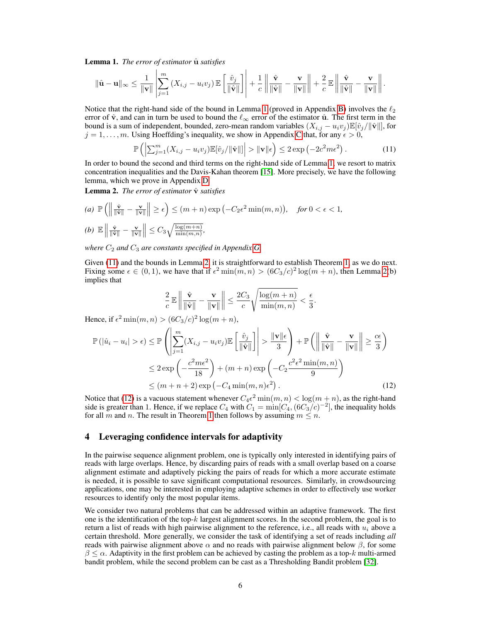<span id="page-5-1"></span>Lemma 1. *The error of estimator*  $\hat{u}$  *satisfies* 

$$
\|\hat{\mathbf{u}} - \mathbf{u}\|_{\infty} \leq \frac{1}{\|\mathbf{v}\|} \left| \sum_{j=1}^{m} \left( X_{i,j} - u_i v_j \right) \mathbb{E} \left[ \frac{\hat{v}_j}{\|\hat{\mathbf{v}}\|} \right] \right| + \frac{1}{c} \left\| \frac{\hat{\mathbf{v}}}{\|\hat{\mathbf{v}}\|} - \frac{\mathbf{v}}{\|\mathbf{v}\|} \right\| + \frac{2}{c} \mathbb{E} \left\| \frac{\hat{\mathbf{v}}}{\|\hat{\mathbf{v}}\|} - \frac{\mathbf{v}}{\|\mathbf{v}\|} \right\|.
$$

Notice that the right-hand side of the bound in Lemma [1](#page-5-1) (proved in Appendix [B\)](#page-15-1) involves the  $\ell_2$ error of  $\hat{v}$ , and can in turn be used to bound the  $\ell_{\infty}$  error of the estimator  $\hat{u}$ . The first term in the bound is a sum of independent, bounded, zero-mean random variables  $(X_{i,j} - u_i v_j) \mathbb{E}[\hat{v}_j / ||\hat{v}||]$ , for  $j = 1, \ldots, m$ . Using Hoeffding's inequality, we show in Appendix [C](#page-16-0) that, for any  $\epsilon > 0$ ,

<span id="page-5-2"></span>
$$
\mathbb{P}\left(\left|\sum_{j=1}^m (X_{i,j} - u_i v_j) \mathbb{E}[\hat{v}_j / ||\hat{\mathbf{v}}||]\right| > ||\mathbf{v}||\epsilon\right) \leq 2 \exp\left(-2c^2 m \epsilon^2\right).
$$
 (11)

In order to bound the second and third terms on the right-hand side of Lemma [1,](#page-5-1) we resort to matrix concentration inequalities and the Davis-Kahan theorem [\[15\]](#page-12-16). More precisely, we have the following lemma, which we prove in Appendix [D.](#page-16-1)

<span id="page-5-3"></span>Lemma 2. *The error of estimator*  $\hat{v}$  *satisfies* 

(a) 
$$
\mathbb{P}\left(\left\|\frac{\hat{\mathbf{v}}}{\|\hat{\mathbf{v}}\|} - \frac{\mathbf{v}}{\|\mathbf{v}\|}\right\| \ge \epsilon\right) \le (m+n) \exp\left(-C_2 \epsilon^2 \min(m, n)\right), \text{ for } 0 < \epsilon < 1,
$$
  
(b)  $\mathbb{E}\left\|\frac{\hat{\mathbf{v}}}{\|\hat{\mathbf{v}}\|} - \frac{\mathbf{v}}{\|\mathbf{v}\|}\right\| \le C_3 \sqrt{\frac{\log(m+n)}{\min(m,n)}},$ 

*where*  $C_2$  *and*  $C_3$  *are constants specified in Appendix [G.](#page-22-0)* 

Given [\(11\)](#page-5-2) and the bounds in Lemma [2,](#page-5-3) it is straightforward to establish Theorem [1,](#page-4-2) as we do next. Fixing some  $\epsilon \in (0, 1)$ , we have that if  $\epsilon^2 \min(m, n) > (6C_3/c)^2 \log(m + n)$ , then Lemma [2\(](#page-5-3)b) implies that

<span id="page-5-4"></span>
$$
\frac{2}{c} \mathbb{E} \left\| \frac{\hat{\mathbf{v}}}{\|\hat{\mathbf{v}}\|} - \frac{\mathbf{v}}{\|\mathbf{v}\|} \right\| \le \frac{2C_3}{c} \sqrt{\frac{\log(m+n)}{\min(m,n)}} < \frac{\epsilon}{3}.
$$

Hence, if  $\epsilon^2 \min(m, n) > (6C_3/c)^2 \log(m+n)$ ,

$$
\mathbb{P}(|\hat{u}_i - u_i| > \epsilon) \le \mathbb{P}\left(\left|\sum_{j=1}^m (X_{i,j} - u_i v_j) \mathbb{E}\left[\frac{\hat{v}_j}{\|\hat{\mathbf{v}}\|}\right]\right| > \frac{\|\mathbf{v}\| \epsilon}{3}\right) + \mathbb{P}\left(\left\|\frac{\hat{\mathbf{v}}}{\|\hat{\mathbf{v}}\|} - \frac{\mathbf{v}}{\|\mathbf{v}\|}\right\| \ge \frac{c\epsilon}{3}\right)
$$
  
\n
$$
\le 2 \exp\left(-\frac{c^2 m \epsilon^2}{18}\right) + (m+n) \exp\left(-C_2 \frac{c^2 \epsilon^2 \min(m, n)}{9}\right)
$$
  
\n
$$
\le (m+n+2) \exp\left(-C_4 \min(m, n) \epsilon^2\right).
$$
 (12)

Notice that [\(12\)](#page-5-4) is a vacuous statement whenever  $C_4 \epsilon^2 \min(m, n) < \log(m + n)$ , as the right-hand side is greater than 1. Hence, if we replace  $C_4$  with  $C_1 = \min[C_4, (6C_3/c)^{-2}]$ , the inequality holds for all m and n. The result in Theorem [1](#page-4-2) then follows by assuming  $m \leq n$ .

### <span id="page-5-0"></span>4 Leveraging confidence intervals for adaptivity

In the pairwise sequence alignment problem, one is typically only interested in identifying pairs of reads with large overlaps. Hence, by discarding pairs of reads with a small overlap based on a coarse alignment estimate and adaptively picking the pairs of reads for which a more accurate estimate is needed, it is possible to save significant computational resources. Similarly, in crowdsourcing applications, one may be interested in employing adaptive schemes in order to effectively use worker resources to identify only the most popular items.

We consider two natural problems that can be addressed within an adaptive framework. The first one is the identification of the top- $k$  largest alignment scores. In the second problem, the goal is to return a list of reads with high pairwise alignment to the reference, i.e., all reads with  $u_i$  above a certain threshold. More generally, we consider the task of identifying a set of reads including *all* reads with pairwise alignment above  $\alpha$  and no reads with pairwise alignment below  $\beta$ , for some  $\beta \leq \alpha$ . Adaptivity in the first problem can be achieved by casting the problem as a top-k multi-armed bandit problem, while the second problem can be cast as a Thresholding Bandit problem [\[32\]](#page-13-17).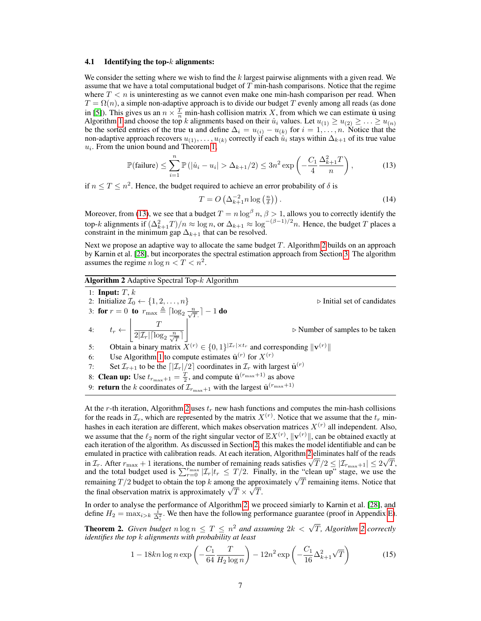#### 4.1 Identifying the top- $k$  alignments:

We consider the setting where we wish to find the  $k$  largest pairwise alignments with a given read. We assume that we have a total computational budget of  $T$  min-hash comparisons. Notice that the regime where  $T < n$  is uninteresting as we cannot even make one min-hash comparison per read. When  $T = \Omega(n)$ , a simple non-adaptive approach is to divide our budget T evenly among all reads (as done in [\[5\]](#page-12-2)). This gives us an  $n \times \frac{T}{n}$  min-hash collision matrix X, from which we can estimate  $\hat{u}$  using Algorithm [1](#page-4-1) and choose the top k alignments based on their  $\hat{u}_i$  values. Let  $u_{(1)} \ge u_{(2)} \ge ... \ge u_{(n)}$ be the sorted entries of the true u and define  $\Delta_i = u_{(i)} - u_{(k)}$  for  $i = 1, \ldots, n$ . Notice that the non-adaptive approach recovers  $u_{(1)}, \ldots, u_{(k)}$  correctly if each  $\hat{u}_i$  stays within  $\Delta_{k+1}$  of its true value  $u_i$ . From the union bound and Theorem [1,](#page-4-2)

$$
\mathbb{P}(\text{failure}) \le \sum_{i=1}^{n} \mathbb{P}(|\hat{u}_i - u_i| > \Delta_{k+1}/2) \le 3n^2 \exp\left(-\frac{C_1}{4} \frac{\Delta_{k+1}^2 T}{n}\right),\tag{13}
$$

if  $n \leq T \leq n^2$ . Hence, the budget required to achieve an error probability of  $\delta$  is

<span id="page-6-3"></span><span id="page-6-0"></span>
$$
T = O\left(\Delta_{k+1}^{-2} n \log\left(\frac{n}{\delta}\right)\right). \tag{14}
$$

Moreover, from [\(13\)](#page-6-0), we see that a budget  $T = n \log^{\beta} n$ ,  $\beta > 1$ , allows you to correctly identify the top-k alignments if  $(\Delta_{k+1}^2 T)/n \approx \log n$ , or  $\Delta_{k+1} \approx \log^{-(\beta-1)/2} n$ . Hence, the budget T places a constraint in the minimum gap  $\Delta_{k+1}$  that can be resolved.

Next we propose an adaptive way to allocate the same budget  $T$ . Algorithm [2](#page-6-1) builds on an approach by Karnin et al. [\[28\]](#page-13-5), but incorporates the spectral estimation approach from Section [3.](#page-4-0) The algorithm assumes the regime  $n \log n < T < n^2$ .

## <span id="page-6-1"></span>Algorithm 2 Adaptive Spectral Top-k Algorithm

1: Input:  $T, k$ 2: Initialize  $\mathcal{I}_0 \leftarrow \{1, 2, \ldots, n\}$   $\triangleright$  Initial set of candidates 3: for  $r = 0$  to  $r_{\text{max}} \triangleq \lceil \log_2 \frac{n}{\sqrt{T}} \rceil - 1$  do 4:  $t_r \leftarrow$  $\begin{array}{ccc} \n & & T \n\end{array}$  $\sqrt{2|\mathcal{I}_r| \lceil \log_2 \frac{n}{\sqrt{T}} \rceil}$  $\overline{\phantom{a}}$  $\triangleright$  Number of samples to be taken 5: Obtain a binary matrix  $X^{(r)} \in \{0,1\}^{|\mathcal{I}_r| \times t_r}$  and corresponding  $\|\mathbf{v}^{(r)}\|$ 6: Use Algorithm [1](#page-4-1) to compute estimates  $\hat{\mathbf{u}}^{(r)}$  for  $X^{(r)}$ 7: Set  $\mathcal{I}_{r+1}$  to be the  $\left| \frac{\mathcal{I}_r}{2} \right|$  coordinates in  $\mathcal{I}_r$  with largest  $\hat{\mathbf{u}}^{(r)}$ 8: **Clean up:** Use  $t_{r_{\text{max}}+1} = \frac{T}{2}$ , and compute  $\hat{\mathbf{u}}^{(r_{\text{max}}+1)}$  as above 9: **return** the k coordinates of  $\mathcal{I}_{r_{\text{max}}+1}$  with the largest  $\hat{\mathbf{u}}^{(r_{\text{max}}+1)}$ 

At the r-th iteration, Algorithm [2](#page-6-1) uses  $t_r$  new hash functions and computes the min-hash collisions for the reads in  $\mathcal{I}_r$ , which are represented by the matrix  $X^{(r)}$ . Notice that we assume that the  $t_r$  minhashes in each iteration are different, which makes observation matrices  $X^{(r)}$  all independent. Also, we assume that the  $\ell_2$  norm of the right singular vector of  $\mathbb{E}[X^{(r)}, \|V^{(r)}\|]$ , can be obtained exactly at each iteration of the algorithm. As discussed in Section [2,](#page-2-0) this makes the model identifiable and can be emulated in practice with calibration reads. At each iteration, Algorithm [2](#page-6-1) eliminates half of the reads emulated in practice with calibration reads. At each iteration, Algorithm 2 eliminates half of the reads in  $\mathcal{I}_r$ . After  $r_{\text{max}} + 1$  iterations, the number of remaining reads satisfies  $\sqrt{T}/2 \le |\mathcal{I}_{r_{\text{max}}+1}| \le 2\sqrt{T$ and the total budget used is  $\sum_{r=0}^{r_{\text{max}}} |{\mathcal{I}}_r|t_r \leq T/2$ . Finally, in the "clean up" stage, we use the remaining  $T/2$  budget to obtain the top k among the approximately  $\sqrt{T}$  remaining items. Notice that the final observation matrix is approximately  $\sqrt{T} \times \sqrt{T}$ .

In order to analyse the performance of Algorithm [2,](#page-6-1) we proceed simiarly to Karnin et al. [\[28\]](#page-13-5), and define  $H_2 = \max_{i > k} \frac{i}{\Delta_i^2}$ . We then have the following performance guarantee (proof in Appendix [E\)](#page-19-0).

<span id="page-6-4"></span>**Theorem [2](#page-6-1).** Given budget  $n \log n \leq T \leq n^2$  and assuming  $2k < \sqrt{T}$ , Algorithm 2 correctly *identifies the top* k *alignments with probability at least*

<span id="page-6-2"></span>
$$
1 - 18kn \log n \exp\left(-\frac{C_1}{64} \frac{T}{H_2 \log n}\right) - 12n^2 \exp\left(-\frac{C_1}{16} \Delta_{k+1}^2 \sqrt{T}\right) \tag{15}
$$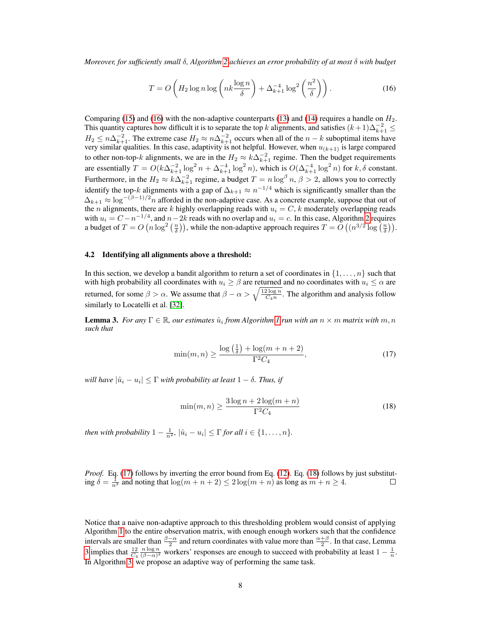*Moreover, for sufficiently small* δ*, Algorithm [2](#page-6-1) achieves an error probability of at most* δ *with budget*

<span id="page-7-0"></span>
$$
T = O\left(H_2 \log n \log \left(nk \frac{\log n}{\delta}\right) + \Delta_{k+1}^{-4} \log^2 \left(\frac{n^2}{\delta}\right)\right). \tag{16}
$$

Comparing [\(15\)](#page-6-2) and [\(16\)](#page-7-0) with the non-adaptive counterparts [\(13\)](#page-6-0) and [\(14\)](#page-6-3) requires a handle on  $H_2$ . This quantity captures how difficult it is to separate the top k alignments, and satisfies  $(k+1)\Delta_{k+1}^{-2} \le$  $H_2 \leq n\Delta_{k+1}^{-2}$ . The extreme case  $H_2 \approx n\Delta_{k+1}^{-2}$  occurs when all of the  $n-k$  suboptimal items have very similar qualities. In this case, adaptivity is not helpful. However, when  $u_{(k+1)}$  is large compared to other non-top-k alignments, we are in the  $H_2 \approx k\Delta_{k+1}^{-2}$  regime. Then the budget requirements are essentially  $T = O(k\Delta_{k+1}^{-2} \log^2 n + \Delta_{k+1}^{-4} \log^2 n)$ , which is  $O(\Delta_{k+1}^{-4} \log^2 n)$  for  $k, \delta$  constant. Furthermore, in the  $H_2 \approx k\Delta_{k+1}^{-2}$  regime, a budget  $T = n \log^{\beta} n$ ,  $\beta > 2$ , allows you to correctly identify the top-k alignments with a gap of  $\Delta_{k+1} \approx n^{-1/4}$  which is significantly smaller than the  $\Delta_{k+1} \approx \log^{-(\beta-1)/2} n$  afforded in the non-adaptive case. As a concrete example, suppose that out of the *n* alignments, there are *k* highly overlapping reads with  $u_i = C$ , *k* moderately overlapping reads with  $u_i = C - n^{-1/4}$ , and  $n-2k$  reads with no overlap and  $u_i = c$ . In this case, Algorithm [2](#page-6-1) requires a budget of  $T = O(n \log^2(\frac{n}{\delta}))$ , while the non-adaptive approach requires  $T = O((n^{3/2} \log(\frac{n}{\delta})).$ 

### 4.2 Identifying all alignments above a threshold:

In this section, we develop a bandit algorithm to return a set of coordinates in  $\{1, \ldots, n\}$  such that with high probability all coordinates with  $u_i \ge \beta$  are returned and no coordinates with  $u_i \le \alpha$  are returned, for some  $\beta > \alpha$ . We assume that  $\beta - \alpha > \sqrt{\frac{12 \log n}{C_4 n}}$ . The algorithm and analysis follow similarly to Locatelli et al. [\[32\]](#page-13-17).

<span id="page-7-3"></span>**Lemma 3.** For any  $\Gamma \in \mathbb{R}$ , our estimates  $\hat{u}_i$  from Algorithm [1](#page-4-1) run with an  $n \times m$  matrix with  $m, n$ *such that*

$$
\min(m, n) \ge \frac{\log\left(\frac{1}{\delta}\right) + \log(m + n + 2)}{\Gamma^2 C_4},\tag{17}
$$

 $\left| \hat{w}_i - u_i \right| \leq \Gamma$  *with probability at least*  $1 - \delta$ *. Thus, if* 

<span id="page-7-2"></span><span id="page-7-1"></span>
$$
\min(m, n) \ge \frac{3\log n + 2\log(m + n)}{\Gamma^2 C_4} \tag{18}
$$

*then with probability*  $1 - \frac{1}{n^2}$ ,  $|\hat{u}_i - u_i| \leq \Gamma$  *for all*  $i \in \{1, ..., n\}$ *.* 

*Proof.* Eq. [\(17\)](#page-7-1) follows by inverting the error bound from Eq. [\(12\)](#page-5-4). Eq. [\(18\)](#page-7-2) follows by just substituting  $\delta = \frac{1}{n^3}$  and noting that  $\log(m + n + 2) \le 2 \log(m + n)$  as long as  $m + n \ge 4$ .  $\Box$ 

Notice that a naive non-adaptive approach to this thresholding problem would consist of applying Algorithm [1](#page-4-1) to the entire observation matrix, with enough enough workers such that the confidence intervals are smaller than  $\frac{\beta-\alpha}{2}$  and return coordinates with value more than  $\frac{\alpha+\beta}{2}$ . In that case, Lemma [3](#page-7-3) implies that  $\frac{12}{C_4} \frac{n \log n}{(\beta - \alpha)^2}$  workers' responses are enough to succeed with probability at least  $1 - \frac{1}{n}$ . In Algorithm [3,](#page-8-0) we propose an adaptive way of performing the same task.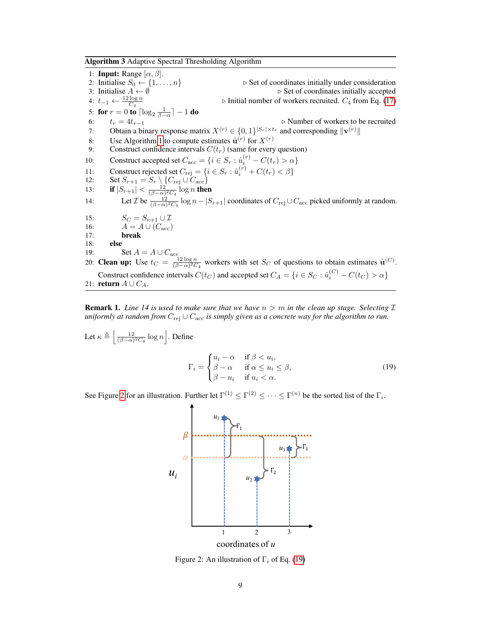<span id="page-8-0"></span>Algorithm 3 Adaptive Spectral Thresholding Algorithm

1: **Input:** Range  $[\alpha, \beta]$ .<br>2: Initialise  $S_0 \leftarrow \{1, ..., n\}$ <br>3: Initialise  $A \leftarrow \emptyset$ ⊵ Set of coordinates initially under consideration ⊳ Set of coordinates initially accepted 4:  $t_{-1} \leftarrow \frac{12 \log n}{C_4}$ <br>5: **for**  $r = 0$  **to**  $\lceil \log_2 \frac{1}{\beta - \alpha} \rceil - 1$  **do**  $\triangleright$  Initial number of workers recruited.  $C_4$  from Eq. [\(17\)](#page-7-1) 6:  $t_r = 4t_{r-1}$  . Number of workers to be recruited 7: Obtain a binary response matrix  $X^{(r)} \in \{0,1\}^{|S_r| \times t_r}$  and corresponding  $\|\mathbf{v}^{(r)}\|$ 8: Use Algorithm [1](#page-4-1) to compute estimates  $\hat{\mathbf{u}}^{(r)}$  for  $X^{(r)}$ 9: Construct confidence intervals  $C(t_r)$  (same for every question) 10: Construct accepted set  $C_{\text{acc}} = \{i \in S_r : \hat{u}_i^{(r)} - C(t_r) > \alpha\}$ 11: Construct rejected set  $C_{\text{rej}} = \{i \in S_r : \hat{u}_i^{(r)} + C(t_r) < \beta\}$ 12: Set  $S_{r+1} = S_r \setminus \{C_{\text{rej}} \cup C_{\text{acc}}\}$ 13: **if**  $|S_{r+1}| < \frac{12}{(\beta-\alpha)^2 C_4} \log n$  then 14: Let  $\mathcal{I}$  be  $\frac{12}{(\beta-\alpha)^2C_4} \log n - |S_{r+1}|$  coordinates of  $C_{\text{rej}} \cup C_{\text{acc}}$  picked uniformly at random. 15:  $S_C = S_{r+1} \cup \mathcal{I}$ 16:  $A = A \cup (C_{\text{acc}})$ 17: break 18: else 19: Set  $A = A \cup C_{\text{acc}}$ 20: **Clean up:** Use  $t_C = \frac{12 \log n}{(\beta - \alpha)^2 C_4}$  workers with set  $S_C$  of questions to obtain estimates  $\hat{\mathbf{u}}^{(C)}$ . Construct confidence intervals  $C(t_C)$  and accepted set  $C_A = \{i \in S_C : \hat{u}_i^{(C)} - C(t_C) > \alpha\}$ 21: **return**  $A \cup C_A$ .

**Remark 1.** *Line 14 is used to make sure that we have*  $n > m$  *in the clean up stage. Selecting*  $\mathcal{I}$ *uniformly at random from*  $C_{\text{rei}} \cup C_{\text{acc}}$  *is simply given as a concrete way for the algorithm to run.* 

Let 
$$
\kappa \triangleq \left[ \frac{12}{(\beta - \alpha)^2 C_4} \log n \right]
$$
. Define  

$$
\Gamma_i = \begin{cases} u_i - \alpha & \text{if } \beta < u_i, \\ \beta - \alpha & \text{if } \alpha \le u_i \le \beta, \\ \beta - u_i & \text{if } u_i < \alpha. \end{cases}
$$
(19)

<span id="page-8-1"></span>See Figure [2](#page-8-1) for an illustration. Further let  $\Gamma^{(1)} \leq \Gamma^{(2)} \leq \cdots \leq \Gamma^{(n)}$  be the sorted list of the  $\Gamma_i$ .

<span id="page-8-2"></span>

Figure 2: An illustration of  $\Gamma_i$  of Eq. [\(19\)](#page-8-2)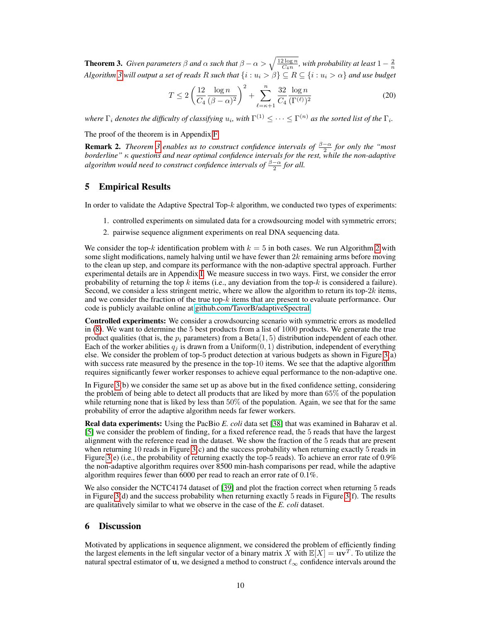<span id="page-9-1"></span>**Theorem 3.** *Given parameters*  $\beta$  *and*  $\alpha$  *such that*  $\beta - \alpha > \sqrt{\frac{12 \log n}{C_4 n}}$ *, with probability at least*  $1 - \frac{2}{n}$ *Algorithm 3 will output a set of reads* R *such that*  $\{i : u_i > \beta\} \subseteq R \subseteq \{i : u_i > \alpha\}$  *and use budget* 

$$
T \le 2\left(\frac{12}{C_4} \frac{\log n}{(\beta - \alpha)^2}\right)^2 + \sum_{\ell = \kappa + 1}^n \frac{32}{C_4} \frac{\log n}{(\Gamma^{(\ell)})^2}
$$
(20)

where  $\Gamma_i$  denotes the difficulty of classifying  $u_i$ , with  $\Gamma^{(1)}\leq\cdots\leq\Gamma^{(n)}$  as the sorted list of the  $\Gamma_i.$ 

The proof of the theorem is in Appendix [F.](#page-21-0)

**Remark 2.** *Theorem* [3](#page-9-1) *enables us to construct confidence intervals of*  $\frac{\beta-\alpha}{2}$  *for only the "most borderline"* κ *questions and near optimal confidence intervals for the rest, while the non-adaptive* algorithm would need to construct confidence intervals of  $\frac{\beta-\alpha}{2}$  for all.

## <span id="page-9-0"></span>5 Empirical Results

In order to validate the Adaptive Spectral Top-k algorithm, we conducted two types of experiments:

- 1. controlled experiments on simulated data for a crowdsourcing model with symmetric errors;
- 2. pairwise sequence alignment experiments on real DNA sequencing data.

We consider the top-k identification problem with  $k = 5$  in both cases. We run Algorithm [2](#page-6-1) with some slight modifications, namely halving until we have fewer than  $2k$  remaining arms before moving to the clean up step, and compare its performance with the non-adaptive spectral approach. Further experimental details are in Appendix [I.](#page-24-0) We measure success in two ways. First, we consider the error probability of returning the top k items (i.e., any deviation from the top-k is considered a failure). Second, we consider a less stringent metric, where we allow the algorithm to return its top-2k items, and we consider the fraction of the true top- $k$  items that are present to evaluate performance. Our code is publicly available online at [github.com/TavorB/adaptiveSpectral.](http://www.github.com/TavorB/adaptiveSpectral)

Controlled experiments: We consider a crowdsourcing scenario with symmetric errors as modelled in [\(8\)](#page-3-1). We want to determine the 5 best products from a list of 1000 products. We generate the true product qualities (that is, the  $p_i$  parameters) from a Beta(1, 5) distribution independent of each other. Each of the worker abilities  $q_i$  is drawn from a Uniform $(0, 1)$  distribution, independent of everything else. We consider the problem of top-5 product detection at various budgets as shown in Figure [3\(](#page-10-0)a) with success rate measured by the presence in the top-10 items. We see that the adaptive algorithm requires significantly fewer worker responses to achieve equal performance to the non-adaptive one.

In Figure [3\(](#page-10-0)b) we consider the same set up as above but in the fixed confidence setting, considering the problem of being able to detect all products that are liked by more than 65% of the population while returning none that is liked by less than 50% of the population. Again, we see that for the same probability of error the adaptive algorithm needs far fewer workers.

Real data experiments: Using the PacBio *E. coli* data set [\[38\]](#page-14-3) that was examined in Baharav et al. [\[5\]](#page-12-2) we consider the problem of finding, for a fixed reference read, the 5 reads that have the largest alignment with the reference read in the dataset. We show the fraction of the 5 reads that are present when returning 10 reads in Figure  $3(c)$  and the success probability when returning exactly 5 reads in Figure [3\(](#page-10-0)e) (i.e., the probability of returning exactly the top-5 reads). To achieve an error rate of  $0.9\%$ the non-adaptive algorithm requires over 8500 min-hash comparisons per read, while the adaptive algorithm requires fewer than 6000 per read to reach an error rate of 0.1%.

We also consider the NCTC4174 dataset of [\[39\]](#page-14-9) and plot the fraction correct when returning 5 reads in Figure [3\(](#page-10-0)d) and the success probability when returning exactly 5 reads in Figure [3\(](#page-10-0)f). The results are qualitatively similar to what we observe in the case of the *E. coli* dataset.

## 6 Discussion

Motivated by applications in sequence alignment, we considered the problem of efficiently finding the largest elements in the left singular vector of a binary matrix X with  $\mathbb{E}[X] = uv^T$ . To utilize the natural spectral estimator of u, we designed a method to construct  $\ell_{\infty}$  confidence intervals around the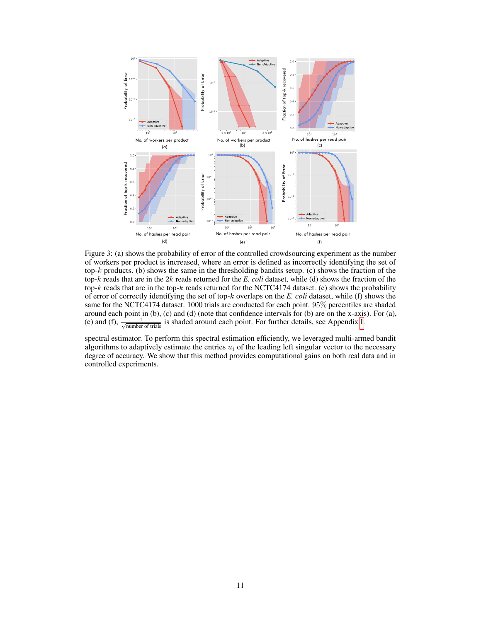<span id="page-10-0"></span>

Figure 3: (a) shows the probability of error of the controlled crowdsourcing experiment as the number of workers per product is increased, where an error is defined as incorrectly identifying the set of top-k products. (b) shows the same in the thresholding bandits setup. (c) shows the fraction of the top-k reads that are in the 2k reads returned for the *E. coli* dataset, while (d) shows the fraction of the top- $k$  reads that are in the top- $k$  reads returned for the NCTC4174 dataset. (e) shows the probability of error of correctly identifying the set of top-k overlaps on the *E. coli* dataset, while (f) shows the same for the NCTC4174 dataset. 1000 trials are conducted for each point. 95% percentiles are shaded around each point in (b), (c) and (d) (note that confidence intervals for (b) are on the x-axis). For (a), (e) and (f),  $\frac{1}{\sqrt{\text{number of trials}}}$  is shaded around each point. For further details, see Appendix [I.](#page-24-0)

spectral estimator. To perform this spectral estimation efficiently, we leveraged multi-armed bandit algorithms to adaptively estimate the entries  $u_i$  of the leading left singular vector to the necessary degree of accuracy. We show that this method provides computational gains on both real data and in controlled experiments.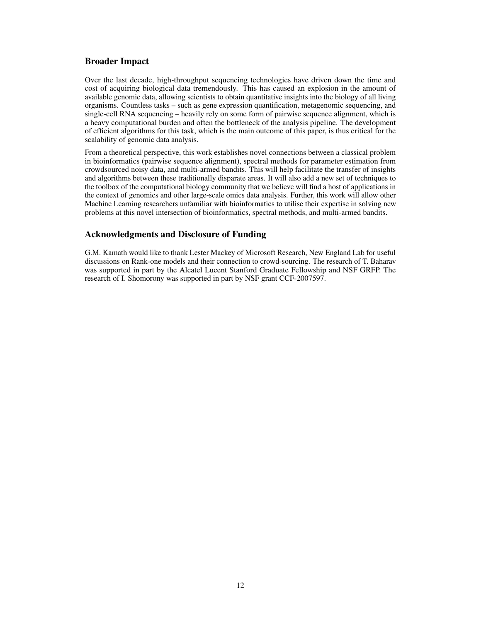## Broader Impact

Over the last decade, high-throughput sequencing technologies have driven down the time and cost of acquiring biological data tremendously. This has caused an explosion in the amount of available genomic data, allowing scientists to obtain quantitative insights into the biology of all living organisms. Countless tasks – such as gene expression quantification, metagenomic sequencing, and single-cell RNA sequencing – heavily rely on some form of pairwise sequence alignment, which is a heavy computational burden and often the bottleneck of the analysis pipeline. The development of efficient algorithms for this task, which is the main outcome of this paper, is thus critical for the scalability of genomic data analysis.

From a theoretical perspective, this work establishes novel connections between a classical problem in bioinformatics (pairwise sequence alignment), spectral methods for parameter estimation from crowdsourced noisy data, and multi-armed bandits. This will help facilitate the transfer of insights and algorithms between these traditionally disparate areas. It will also add a new set of techniques to the toolbox of the computational biology community that we believe will find a host of applications in the context of genomics and other large-scale omics data analysis. Further, this work will allow other Machine Learning researchers unfamiliar with bioinformatics to utilise their expertise in solving new problems at this novel intersection of bioinformatics, spectral methods, and multi-armed bandits.

## Acknowledgments and Disclosure of Funding

G.M. Kamath would like to thank Lester Mackey of Microsoft Research, New England Lab for useful discussions on Rank-one models and their connection to crowd-sourcing. The research of T. Baharav was supported in part by the Alcatel Lucent Stanford Graduate Fellowship and NSF GRFP. The research of I. Shomorony was supported in part by NSF grant CCF-2007597.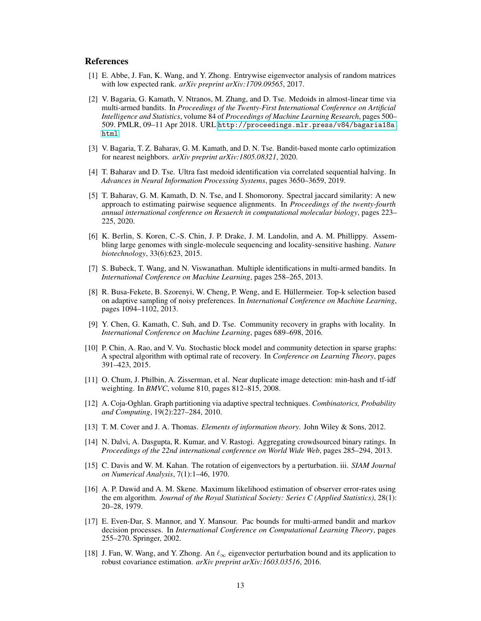### References

- <span id="page-12-3"></span>[1] E. Abbe, J. Fan, K. Wang, and Y. Zhong. Entrywise eigenvector analysis of random matrices with low expected rank. *arXiv preprint arXiv:1709.09565*, 2017.
- <span id="page-12-9"></span>[2] V. Bagaria, G. Kamath, V. Ntranos, M. Zhang, and D. Tse. Medoids in almost-linear time via multi-armed bandits. In *Proceedings of the Twenty-First International Conference on Artificial Intelligence and Statistics*, volume 84 of *Proceedings of Machine Learning Research*, pages 500– 509. PMLR, 09–11 Apr 2018. URL [http://proceedings.mlr.press/v84/bagaria18a.](http://proceedings.mlr.press/v84/bagaria18a.html) [html](http://proceedings.mlr.press/v84/bagaria18a.html).
- [3] V. Bagaria, T. Z. Baharav, G. M. Kamath, and D. N. Tse. Bandit-based monte carlo optimization for nearest neighbors. *arXiv preprint arXiv:1805.08321*, 2020.
- <span id="page-12-10"></span>[4] T. Baharav and D. Tse. Ultra fast medoid identification via correlated sequential halving. In *Advances in Neural Information Processing Systems*, pages 3650–3659, 2019.
- <span id="page-12-2"></span>[5] T. Baharav, G. M. Kamath, D. N. Tse, and I. Shomorony. Spectral jaccard similarity: A new approach to estimating pairwise sequence alignments. In *Proceedings of the twenty-fourth annual international conference on Resaerch in computational molecular biology*, pages 223– 225, 2020.
- <span id="page-12-0"></span>[6] K. Berlin, S. Koren, C.-S. Chin, J. P. Drake, J. M. Landolin, and A. M. Phillippy. Assembling large genomes with single-molecule sequencing and locality-sensitive hashing. *Nature biotechnology*, 33(6):623, 2015.
- <span id="page-12-7"></span>[7] S. Bubeck, T. Wang, and N. Viswanathan. Multiple identifications in multi-armed bandits. In *International Conference on Machine Learning*, pages 258–265, 2013.
- <span id="page-12-6"></span>[8] R. Busa-Fekete, B. Szorenyi, W. Cheng, P. Weng, and E. Hüllermeier. Top-k selection based on adaptive sampling of noisy preferences. In *International Conference on Machine Learning*, pages 1094–1102, 2013.
- <span id="page-12-12"></span>[9] Y. Chen, G. Kamath, C. Suh, and D. Tse. Community recovery in graphs with locality. In *International Conference on Machine Learning*, pages 689–698, 2016.
- <span id="page-12-13"></span>[10] P. Chin, A. Rao, and V. Vu. Stochastic block model and community detection in sparse graphs: A spectral algorithm with optimal rate of recovery. In *Conference on Learning Theory*, pages 391–423, 2015.
- <span id="page-12-4"></span>[11] O. Chum, J. Philbin, A. Zisserman, et al. Near duplicate image detection: min-hash and tf-idf weighting. In *BMVC*, volume 810, pages 812–815, 2008.
- <span id="page-12-14"></span>[12] A. Coja-Oghlan. Graph partitioning via adaptive spectral techniques. *Combinatorics, Probability and Computing*, 19(2):227–284, 2010.
- <span id="page-12-11"></span>[13] T. M. Cover and J. A. Thomas. *Elements of information theory*. John Wiley & Sons, 2012.
- <span id="page-12-5"></span>[14] N. Dalvi, A. Dasgupta, R. Kumar, and V. Rastogi. Aggregating crowdsourced binary ratings. In *Proceedings of the 22nd international conference on World Wide Web*, pages 285–294, 2013.
- <span id="page-12-16"></span>[15] C. Davis and W. M. Kahan. The rotation of eigenvectors by a perturbation. iii. *SIAM Journal on Numerical Analysis*, 7(1):1–46, 1970.
- <span id="page-12-1"></span>[16] A. P. Dawid and A. M. Skene. Maximum likelihood estimation of observer error-rates using the em algorithm. *Journal of the Royal Statistical Society: Series C (Applied Statistics)*, 28(1): 20–28, 1979.
- <span id="page-12-8"></span>[17] E. Even-Dar, S. Mannor, and Y. Mansour. Pac bounds for multi-armed bandit and markov decision processes. In *International Conference on Computational Learning Theory*, pages 255–270. Springer, 2002.
- <span id="page-12-15"></span>[18] J. Fan, W. Wang, and Y. Zhong. An  $\ell_{\infty}$  eigenvector perturbation bound and its application to robust covariance estimation. *arXiv preprint arXiv:1603.03516*, 2016.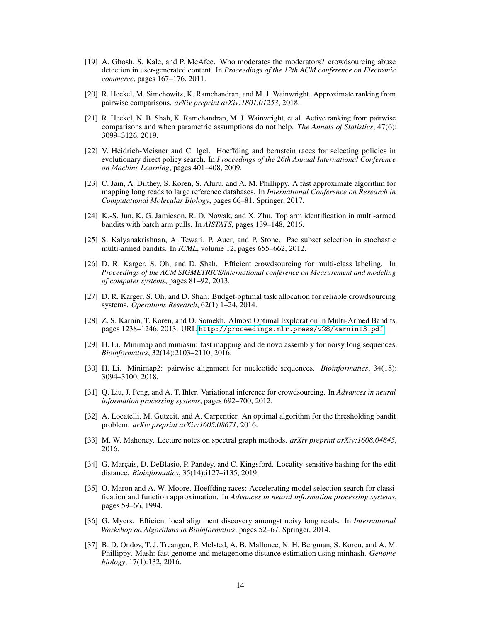- <span id="page-13-3"></span>[19] A. Ghosh, S. Kale, and P. McAfee. Who moderates the moderators? crowdsourcing abuse detection in user-generated content. In *Proceedings of the 12th ACM conference on Electronic commerce*, pages 167–176, 2011.
- <span id="page-13-11"></span>[20] R. Heckel, M. Simchowitz, K. Ramchandran, and M. J. Wainwright. Approximate ranking from pairwise comparisons. *arXiv preprint arXiv:1801.01253*, 2018.
- <span id="page-13-12"></span>[21] R. Heckel, N. B. Shah, K. Ramchandran, M. J. Wainwright, et al. Active ranking from pairwise comparisons and when parametric assumptions do not help. *The Annals of Statistics*, 47(6): 3099–3126, 2019.
- <span id="page-13-13"></span>[22] V. Heidrich-Meisner and C. Igel. Hoeffding and bernstein races for selecting policies in evolutionary direct policy search. In *Proceedings of the 26th Annual International Conference on Machine Learning*, pages 401–408, 2009.
- <span id="page-13-8"></span>[23] C. Jain, A. Dilthey, S. Koren, S. Aluru, and A. M. Phillippy. A fast approximate algorithm for mapping long reads to large reference databases. In *International Conference on Research in Computational Molecular Biology*, pages 66–81. Springer, 2017.
- <span id="page-13-14"></span>[24] K.-S. Jun, K. G. Jamieson, R. D. Nowak, and X. Zhu. Top arm identification in multi-armed bandits with batch arm pulls. In *AISTATS*, pages 139–148, 2016.
- <span id="page-13-15"></span>[25] S. Kalyanakrishnan, A. Tewari, P. Auer, and P. Stone. Pac subset selection in stochastic multi-armed bandits. In *ICML*, volume 12, pages 655–662, 2012.
- <span id="page-13-4"></span>[26] D. R. Karger, S. Oh, and D. Shah. Efficient crowdsourcing for multi-class labeling. In *Proceedings of the ACM SIGMETRICS/international conference on Measurement and modeling of computer systems*, pages 81–92, 2013.
- <span id="page-13-9"></span>[27] D. R. Karger, S. Oh, and D. Shah. Budget-optimal task allocation for reliable crowdsourcing systems. *Operations Research*, 62(1):1–24, 2014.
- <span id="page-13-5"></span>[28] Z. S. Karnin, T. Koren, and O. Somekh. Almost Optimal Exploration in Multi-Armed Bandits. pages 1238–1246, 2013. URL <http://proceedings.mlr.press/v28/karnin13.pdf>.
- <span id="page-13-0"></span>[29] H. Li. Minimap and miniasm: fast mapping and de novo assembly for noisy long sequences. *Bioinformatics*, 32(14):2103–2110, 2016.
- <span id="page-13-1"></span>[30] H. Li. Minimap2: pairwise alignment for nucleotide sequences. *Bioinformatics*, 34(18): 3094–3100, 2018.
- <span id="page-13-10"></span>[31] Q. Liu, J. Peng, and A. T. Ihler. Variational inference for crowdsourcing. In *Advances in neural information processing systems*, pages 692–700, 2012.
- <span id="page-13-17"></span>[32] A. Locatelli, M. Gutzeit, and A. Carpentier. An optimal algorithm for the thresholding bandit problem. *arXiv preprint arXiv:1605.08671*, 2016.
- <span id="page-13-18"></span>[33] M. W. Mahoney. Lecture notes on spectral graph methods. *arXiv preprint arXiv:1608.04845*, 2016.
- <span id="page-13-6"></span>[34] G. Marçais, D. DeBlasio, P. Pandey, and C. Kingsford. Locality-sensitive hashing for the edit distance. *Bioinformatics*, 35(14):i127–i135, 2019.
- <span id="page-13-16"></span>[35] O. Maron and A. W. Moore. Hoeffding races: Accelerating model selection search for classification and function approximation. In *Advances in neural information processing systems*, pages 59–66, 1994.
- <span id="page-13-2"></span>[36] G. Myers. Efficient local alignment discovery amongst noisy long reads. In *International Workshop on Algorithms in Bioinformatics*, pages 52–67. Springer, 2014.
- <span id="page-13-7"></span>[37] B. D. Ondov, T. J. Treangen, P. Melsted, A. B. Mallonee, N. H. Bergman, S. Koren, and A. M. Phillippy. Mash: fast genome and metagenome distance estimation using minhash. *Genome biology*, 17(1):132, 2016.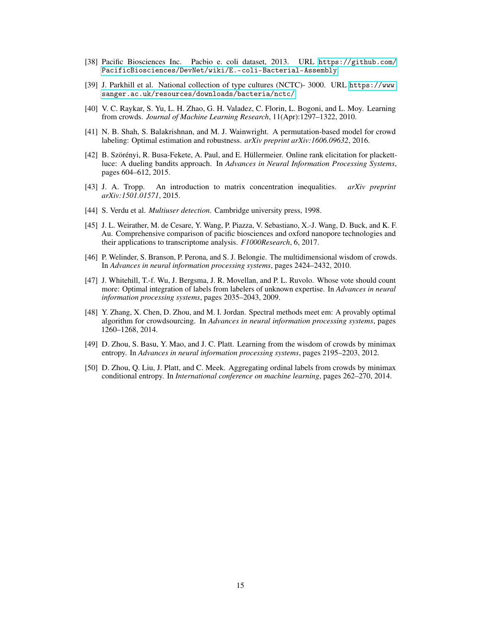- <span id="page-14-3"></span>[38] Pacific Biosciences Inc. Pacbio e. coli dataset, 2013. URL [https://github.com/](https://github.com/PacificBiosciences/DevNet/wiki/E.-coli-Bacterial-Assembly) [PacificBiosciences/DevNet/wiki/E.-coli-Bacterial-Assembly](https://github.com/PacificBiosciences/DevNet/wiki/E.-coli-Bacterial-Assembly).
- <span id="page-14-9"></span>[39] J. Parkhill et al. National collection of type cultures (NCTC)- 3000. URL [https://www.](https://www.sanger.ac.uk/resources/downloads/bacteria/nctc/) [sanger.ac.uk/resources/downloads/bacteria/nctc/](https://www.sanger.ac.uk/resources/downloads/bacteria/nctc/).
- <span id="page-14-1"></span>[40] V. C. Raykar, S. Yu, L. H. Zhao, G. H. Valadez, C. Florin, L. Bogoni, and L. Moy. Learning from crowds. *Journal of Machine Learning Research*, 11(Apr):1297–1322, 2010.
- <span id="page-14-4"></span>[41] N. B. Shah, S. Balakrishnan, and M. J. Wainwright. A permutation-based model for crowd labeling: Optimal estimation and robustness. *arXiv preprint arXiv:1606.09632*, 2016.
- <span id="page-14-8"></span>[42] B. Szörényi, R. Busa-Fekete, A. Paul, and E. Hüllermeier. Online rank elicitation for plackettluce: A dueling bandits approach. In *Advances in Neural Information Processing Systems*, pages 604–612, 2015.
- <span id="page-14-10"></span>[43] J. A. Tropp. An introduction to matrix concentration inequalities. *arXiv preprint arXiv:1501.01571*, 2015.
- <span id="page-14-2"></span>[44] S. Verdu et al. *Multiuser detection*. Cambridge university press, 1998.
- <span id="page-14-0"></span>[45] J. L. Weirather, M. de Cesare, Y. Wang, P. Piazza, V. Sebastiano, X.-J. Wang, D. Buck, and K. F. Au. Comprehensive comparison of pacific biosciences and oxford nanopore technologies and their applications to transcriptome analysis. *F1000Research*, 6, 2017.
- <span id="page-14-5"></span>[46] P. Welinder, S. Branson, P. Perona, and S. J. Belongie. The multidimensional wisdom of crowds. In *Advances in neural information processing systems*, pages 2424–2432, 2010.
- <span id="page-14-6"></span>[47] J. Whitehill, T.-f. Wu, J. Bergsma, J. R. Movellan, and P. L. Ruvolo. Whose vote should count more: Optimal integration of labels from labelers of unknown expertise. In *Advances in neural information processing systems*, pages 2035–2043, 2009.
- [48] Y. Zhang, X. Chen, D. Zhou, and M. I. Jordan. Spectral methods meet em: A provably optimal algorithm for crowdsourcing. In *Advances in neural information processing systems*, pages 1260–1268, 2014.
- [49] D. Zhou, S. Basu, Y. Mao, and J. C. Platt. Learning from the wisdom of crowds by minimax entropy. In *Advances in neural information processing systems*, pages 2195–2203, 2012.
- <span id="page-14-7"></span>[50] D. Zhou, Q. Liu, J. Platt, and C. Meek. Aggregating ordinal labels from crowds by minimax conditional entropy. In *International conference on machine learning*, pages 262–270, 2014.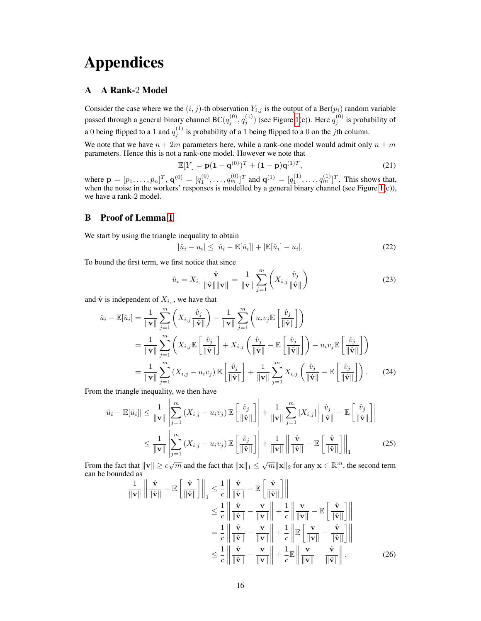# Appendices

## <span id="page-15-0"></span>A A Rank-2 Model

Consider the case where we the  $(i, j)$ -th observation  $Y_{i,j}$  is the output of a Ber $(p_i)$  random variable passed through a general binary channel BC $(q_j^{(0)}, q_j^{(1)})$  (see Figure [1\(](#page-3-0)c)). Here  $q_j^{(0)}$  is probability of a 0 being flipped to a 1 and  $q_j^{(1)}$  is probability of a 1 being flipped to a 0 on the jth column.

We note that we have  $n + 2m$  parameters here, while a rank-one model would admit only  $n + m$ parameters. Hence this is not a rank-one model. However we note that

$$
\mathbb{E}[Y] = \mathbf{p}(1 - \mathbf{q}^{(0)})^T + (1 - \mathbf{p})\mathbf{q}^{(1)T},
$$
\n(21)

where  $\mathbf{p} = [p_1, \dots, p_n]^T$ ,  $\mathbf{q}^{(0)} = [q_1^{(0)}, \dots, q_m^{(0)}]^T$  and  $\mathbf{q}^{(1)} = [q_1^{(1)}, \dots, q_m^{(1)}]^T$ . This shows that, when the noise in the workers' responses is modelled by a general binary channel (see Figure  $1(c)$ ), we have a rank-2 model.

## <span id="page-15-1"></span>B Proof of Lemma [1](#page-5-1)

We start by using the triangle inequality to obtain

<span id="page-15-2"></span>
$$
|\hat{u}_i - u_i| \le |\hat{u}_i - \mathbb{E}[\hat{u}_i]| + |\mathbb{E}[\hat{u}_i] - u_i|.
$$
 (22)

To bound the first term, we first notice that since

$$
\hat{u}_i = X_{i,.} \frac{\hat{\mathbf{v}}}{\|\hat{\mathbf{v}}\| \|\mathbf{v}\|} = \frac{1}{\|\mathbf{v}\|} \sum_{j=1}^m \left( X_{i,j} \frac{\hat{v}_j}{\|\hat{\mathbf{v}}\|} \right)
$$
(23)

and  $\hat{v}$  is independent of  $X_{i,j}$ , we have that

$$
\hat{u}_{i} - \mathbb{E}[\hat{u}_{i}] = \frac{1}{\|\mathbf{v}\|} \sum_{j=1}^{m} \left( X_{i,j} \frac{\hat{v}_{j}}{\|\hat{\mathbf{v}}\|} \right) - \frac{1}{\|\mathbf{v}\|} \sum_{j=1}^{m} \left( u_{i} v_{j} \mathbb{E} \left[ \frac{\hat{v}_{j}}{\|\hat{\mathbf{v}}\|} \right] \right)
$$
\n
$$
= \frac{1}{\|\mathbf{v}\|} \sum_{j=1}^{m} \left( X_{i,j} \mathbb{E} \left[ \frac{\hat{v}_{j}}{\|\hat{\mathbf{v}}\|} \right] + X_{i,j} \left( \frac{\hat{v}_{j}}{\|\hat{\mathbf{v}}\|} - \mathbb{E} \left[ \frac{\hat{v}_{j}}{\|\hat{\mathbf{v}}\|} \right] \right) - u_{i} v_{j} \mathbb{E} \left[ \frac{\hat{v}_{j}}{\|\hat{\mathbf{v}}\|} \right] \right)
$$
\n
$$
= \frac{1}{\|\mathbf{v}\|} \sum_{j=1}^{m} \left( X_{i,j} - u_{i} v_{j} \right) \mathbb{E} \left[ \frac{\hat{v}_{j}}{\|\hat{\mathbf{v}}\|} \right] + \frac{1}{\|\mathbf{v}\|} \sum_{j=1}^{m} X_{i,j} \left( \frac{\hat{v}_{j}}{\|\hat{\mathbf{v}}\|} - \mathbb{E} \left[ \frac{\hat{v}_{j}}{\|\hat{\mathbf{v}}\|} \right] \right). \tag{24}
$$

From the triangle inequality, we then have

$$
\left|\hat{u}_{i} - \mathbb{E}[\hat{u}_{i}]\right| \leq \frac{1}{\|\mathbf{v}\|} \left| \sum_{j=1}^{m} \left( X_{i,j} - u_{i} v_{j} \right) \mathbb{E}\left[\frac{\hat{v}_{j}}{\|\hat{\mathbf{v}}\|}\right] \right| + \frac{1}{\|\mathbf{v}\|} \sum_{j=1}^{m} \left| X_{i,j} \right| \left| \frac{\hat{v}_{j}}{\|\hat{\mathbf{v}}\|} - \mathbb{E}\left[\frac{\hat{v}_{j}}{\|\hat{\mathbf{v}}\|}\right] \right|
$$
  

$$
\leq \frac{1}{\|\mathbf{v}\|} \left| \sum_{j=1}^{m} \left( X_{i,j} - u_{i} v_{j} \right) \mathbb{E}\left[\frac{\hat{v}_{j}}{\|\hat{\mathbf{v}}\|}\right] \right| + \frac{1}{\|\mathbf{v}\|} \left\| \frac{\hat{\mathbf{v}}}{\|\hat{\mathbf{v}}\|} - \mathbb{E}\left[\frac{\hat{\mathbf{v}}}{\|\hat{\mathbf{v}}\|}\right] \right|_{1}
$$
(25)

From the fact that  $\|\mathbf{v}\| \ge c\sqrt{m}$  and the fact that  $\|\mathbf{x}\|_1 \le \sqrt{m}\|\mathbf{x}\|_2$  for any  $\mathbf{x} \in \mathbb{R}^m$ , the second term can be bounded as

<span id="page-15-4"></span><span id="page-15-3"></span>
$$
\frac{1}{\|\mathbf{v}\|} \left\| \frac{\hat{\mathbf{v}}}{\|\hat{\mathbf{v}}\|} - \mathbb{E} \left[ \frac{\hat{\mathbf{v}}}{\|\hat{\mathbf{v}}\|} \right] \right\|_{1} \leq \frac{1}{c} \left\| \frac{\hat{\mathbf{v}}}{\|\hat{\mathbf{v}}\|} - \mathbb{E} \left[ \frac{\hat{\mathbf{v}}}{\|\hat{\mathbf{v}}\|} \right] \right\|
$$
  
\n
$$
\leq \frac{1}{c} \left\| \frac{\hat{\mathbf{v}}}{\|\hat{\mathbf{v}}\|} - \frac{\mathbf{v}}{\|\mathbf{v}\|} \right\| + \frac{1}{c} \left\| \frac{\mathbf{v}}{\|\mathbf{v}\|} - \mathbb{E} \left[ \frac{\hat{\mathbf{v}}}{\|\hat{\mathbf{v}}\|} \right] \right\|
$$
  
\n
$$
= \frac{1}{c} \left\| \frac{\hat{\mathbf{v}}}{\|\hat{\mathbf{v}}\|} - \frac{\mathbf{v}}{\|\mathbf{v}\|} \right\| + \frac{1}{c} \left\| \mathbb{E} \left[ \frac{\mathbf{v}}{\|\mathbf{v}\|} - \frac{\hat{\mathbf{v}}}{\|\hat{\mathbf{v}}\|} \right] \right\|
$$
  
\n
$$
\leq \frac{1}{c} \left\| \frac{\hat{\mathbf{v}}}{\|\hat{\mathbf{v}}\|} - \frac{\mathbf{v}}{\|\mathbf{v}\|} \right\| + \frac{1}{c} \mathbb{E} \left\| \frac{\mathbf{v}}{\|\mathbf{v}\|} - \frac{\hat{\mathbf{v}}}{\|\hat{\mathbf{v}}\|} \right\|,
$$
 (26)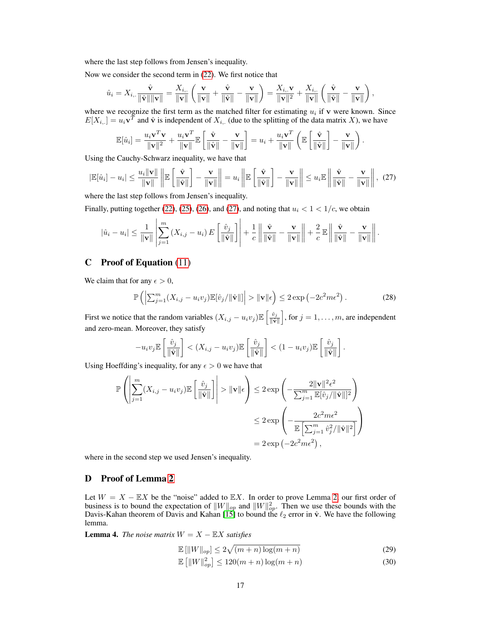where the last step follows from Jensen's inequality.

Now we consider the second term in [\(22\)](#page-15-2). We first notice that

$$
\hat{u}_i = X_{i,.} \frac{\hat{\mathbf{v}}}{\|\hat{\mathbf{v}}\| \|\mathbf{v}\|} = \frac{X_{i,.}}{\|\mathbf{v}\|} \left( \frac{\mathbf{v}}{\|\mathbf{v}\|} + \frac{\hat{\mathbf{v}}}{\|\hat{\mathbf{v}}\|} - \frac{\mathbf{v}}{\|\mathbf{v}\|} \right) = \frac{X_{i,.}\mathbf{v}}{\|\mathbf{v}\|^2} + \frac{X_{i,.}}{\|\mathbf{v}\|} \left( \frac{\hat{\mathbf{v}}}{\|\hat{\mathbf{v}}\|} - \frac{\mathbf{v}}{\|\mathbf{v}\|} \right),
$$

where we recognize the first term as the matched filter for estimating  $u_i$  if  $\bf{v}$  were known. Since  $E[X_{i,j}] = u_i \mathbf{v}^T$  and  $\hat{\mathbf{v}}$  is independent of  $X_{i,j}$  (due to the splitting of the data matrix X), we have

<span id="page-16-2"></span>
$$
\mathbb{E}[\hat{u}_i] = \frac{u_i \mathbf{v}^T \mathbf{v}}{\|\mathbf{v}\|^2} + \frac{u_i \mathbf{v}^T}{\|\mathbf{v}\|} \mathbb{E}\left[\frac{\hat{\mathbf{v}}}{\|\hat{\mathbf{v}}\|} - \frac{\mathbf{v}}{\|\mathbf{v}\|}\right] = u_i + \frac{u_i \mathbf{v}^T}{\|\mathbf{v}\|} \left(\mathbb{E}\left[\frac{\hat{\mathbf{v}}}{\|\hat{\mathbf{v}}\|}\right] - \frac{\mathbf{v}}{\|\mathbf{v}\|}\right).
$$

Using the Cauchy-Schwarz inequality, we have that

$$
|\mathbb{E}[\hat{u}_i] - u_i| \le \frac{u_i \|\mathbf{v}\|}{\|\mathbf{v}\|} \left\| \mathbb{E} \left[ \frac{\hat{\mathbf{v}}}{\|\hat{\mathbf{v}}\|} \right] - \frac{\mathbf{v}}{\|\mathbf{v}\|} \right\| = u_i \left\| \mathbb{E} \left[ \frac{\hat{\mathbf{v}}}{\|\hat{\mathbf{v}}\|} \right] - \frac{\mathbf{v}}{\|\mathbf{v}\|} \right\| \le u_i \mathbb{E} \left\| \frac{\hat{\mathbf{v}}}{\|\hat{\mathbf{v}}\|} - \frac{\mathbf{v}}{\|\mathbf{v}\|} \right\|, (27)
$$

where the last step follows from Jensen's inequality.

Finally, putting together [\(22\)](#page-15-2), [\(25\)](#page-15-3), [\(26\)](#page-15-4), and [\(27\)](#page-16-2), and noting that  $u_i < 1 < 1/c$ , we obtain

$$
|\hat{u}_i - u_i| \leq \frac{1}{\|\mathbf{v}\|} \left| \sum_{j=1}^m (X_{i,j} - u_i) E\left[\frac{\hat{v}_j}{\|\hat{\mathbf{v}}\|}\right] \right| + \frac{1}{c} \left\| \frac{\hat{\mathbf{v}}}{\|\hat{\mathbf{v}}\|} - \frac{\mathbf{v}}{\|\mathbf{v}\|} \right\| + \frac{2}{c} E\left\| \frac{\hat{\mathbf{v}}}{\|\hat{\mathbf{v}}\|} - \frac{\mathbf{v}}{\|\mathbf{v}\|} \right\|.
$$

## <span id="page-16-0"></span>C Proof of Equation [\(11\)](#page-5-2)

We claim that for any  $\epsilon > 0$ ,

$$
\mathbb{P}\left(\left|\sum_{j=1}^m (X_{i,j} - u_i v_j) \mathbb{E}[\hat{v}_j/\|\hat{\mathbf{v}}\|]\right| > \|\mathbf{v}\|\epsilon\right) \le 2 \exp\left(-2c^2 m \epsilon^2\right). \tag{28}
$$

First we notice that the random variables  $(X_{i,j} - u_i v_j) \mathbb{E}\left[\frac{\hat{v}_j}{\|\hat{v}\|}\right]$ , for  $j = 1, \dots, m$ , are independent and zero-mean. Moreover, they satisfy

$$
-u_i v_j \mathbb{E}\left[\frac{\hat{v}_j}{\|\hat{\mathbf{v}}\|}\right] < (X_{i,j} - u_i v_j) \mathbb{E}\left[\frac{\hat{v}_j}{\|\hat{\mathbf{v}}\|}\right] < (1 - u_i v_j) \mathbb{E}\left[\frac{\hat{v}_j}{\|\hat{\mathbf{v}}\|}\right].
$$

Using Hoeffding's inequality, for any  $\epsilon > 0$  we have that

$$
\mathbb{P}\left(\left|\sum_{j=1}^{m} (X_{i,j} - u_i v_j) \mathbb{E}\left[\frac{\hat{v}_j}{\|\hat{\mathbf{v}}\|}\right]\right| > \|\mathbf{v}\|\epsilon\right) \le 2 \exp\left(-\frac{2\|\mathbf{v}\|^2 \epsilon^2}{\sum_{j=1}^{m} \mathbb{E}[\hat{v}_j/\|\hat{\mathbf{v}}\|^2}\right)
$$
  

$$
\le 2 \exp\left(-\frac{2c^2 m \epsilon^2}{\mathbb{E}\left[\sum_{j=1}^{m} \hat{v}_j^2/\|\hat{\mathbf{v}}\|^2\right]}\right)
$$
  

$$
= 2 \exp\left(-2c^2 m \epsilon^2\right),
$$

where in the second step we used Jensen's inequality.

### <span id="page-16-1"></span>D Proof of Lemma [2](#page-5-3)

Let  $W = X - \mathbb{E}X$  be the "noise" added to  $\mathbb{E}X$ . In order to prove Lemma [2,](#page-5-3) our first order of business is to bound the expectation of  $||W||_{op}$  and  $||W||_{op}^2$ . Then we use these bounds with the Davis-Kahan theorem of Davis and Kahan [\[15\]](#page-12-16) to bound the  $\ell_2$  error in  $\hat{\mathbf{v}}$ . We have the following lemma.

<span id="page-16-5"></span>**Lemma 4.** *The noise matrix*  $W = X - \mathbb{E}X$  *satisfies* 

<span id="page-16-4"></span>
$$
\mathbb{E}\left[\|W\|_{op}\right] \le 2\sqrt{(m+n)\log(m+n)}\tag{29}
$$

<span id="page-16-3"></span>
$$
\mathbb{E}\left[\|W\|_{op}^2\right] \le 120(m+n)\log(m+n) \tag{30}
$$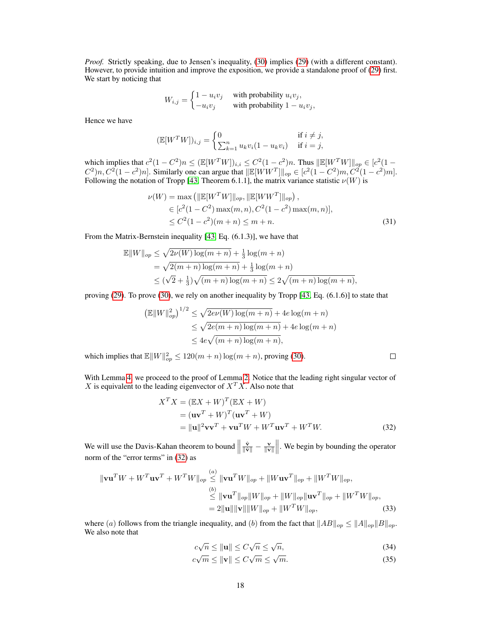*Proof.* Strictly speaking, due to Jensen's inequality, [\(30\)](#page-16-3) implies [\(29\)](#page-16-4) (with a different constant). However, to provide intuition and improve the exposition, we provide a standalone proof of [\(29\)](#page-16-4) first. We start by noticing that

$$
W_{i,j} = \begin{cases} 1 - u_i v_j & \text{with probability } u_i v_j, \\ -u_i v_j & \text{with probability } 1 - u_i v_j, \end{cases}
$$

Hence we have

$$
(\mathbb{E}[W^T W])_{i,j} = \begin{cases} 0 & \text{if } i \neq j, \\ \sum_{k=1}^n u_k v_i (1 - u_k v_i) & \text{if } i = j, \end{cases}
$$

which implies that  $c^2(1 - C^2)n \leq (\mathbb{E}[W^TW])_{i,i} \leq C^2(1 - c^2)n$ . Thus  $\|\mathbb{E}[W^TW]\|_{op} \in [c^2(1 - c^2)]$  $C^2$ )n,  $C^2(1 - c^2)n$ . Similarly one can argue that  $\mathbb{E}[WW^T]\|_{op} \in [c^2(1 - C^2)m, C^2(1 - c^2)m]$ . Following the notation of Tropp [\[43,](#page-14-10) Theorem 6.1.1], the matrix variance statistic  $\nu(W)$  is

$$
\nu(W) = \max\left(\|\mathbb{E}[W^TW]\|_{op}, \|\mathbb{E}[WW^T]\|_{op}\right),
$$
  
\n
$$
\in [c^2(1 - C^2) \max(m, n), C^2(1 - c^2) \max(m, n)],
$$
  
\n
$$
\leq C^2(1 - c^2)(m + n) \leq m + n.
$$
\n(31)

From the Matrix-Bernstein inequality [\[43,](#page-14-10) Eq. (6.1.3)], we have that

$$
\mathbb{E}||W||_{op} \leq \sqrt{2\nu(W) \log(m+n)} + \frac{1}{3} \log(m+n)
$$
  
=  $\sqrt{2(m+n) \log(m+n)} + \frac{1}{3} \log(m+n)$   
 $\leq (\sqrt{2} + \frac{1}{3})\sqrt{(m+n) \log(m+n)} \leq 2\sqrt{(m+n) \log(m+n)},$ 

proving [\(29\)](#page-16-4). To prove [\(30\)](#page-16-3), we rely on another inequality by Tropp [\[43,](#page-14-10) Eq. (6.1.6)] to state that

$$
\left(\mathbb{E}||W||_{op}^2\right)^{1/2} \le \sqrt{2e\nu(W)\log(m+n)} + 4e\log(m+n)
$$
  

$$
\le \sqrt{2e(m+n)\log(m+n)} + 4e\log(m+n)
$$
  

$$
\le 4e\sqrt{(m+n)\log(m+n)},
$$

which implies that  $\mathbb{E} ||W||_{op}^2 \le 120(m+n) \log(m+n)$ , proving [\(30\)](#page-16-3).

With Lemma [4,](#page-16-5) we proceed to the proof of Lemma [2.](#page-5-3) Notice that the leading right singular vector of X is equivalent to the leading eigenvector of  $X^T X$ . Also note that

$$
XTX = (\mathbb{E}X + W)T(\mathbb{E}X + W)
$$
  
=  $(\mathbf{u}\mathbf{v}^T + W)^T(\mathbf{u}\mathbf{v}^T + W)$   
=  $||\mathbf{u}||^2 \mathbf{v}\mathbf{v}^T + \mathbf{v}\mathbf{u}^T W + W^T \mathbf{u}\mathbf{v}^T + W^T W.$  (32)

<span id="page-17-1"></span><span id="page-17-0"></span> $\Box$ 

We will use the Davis-Kahan theorem to bound  $\parallel$  $\frac{\hat{\mathbf{v}}}{\|\hat{\mathbf{v}}\|} - \frac{\mathbf{v}}{\|\mathbf{v}\|}\|$ . We begin by bounding the operator norm of the "error terms" in [\(32\)](#page-17-0) as

$$
\|\mathbf{v}\mathbf{u}^T W + W^T \mathbf{u}\mathbf{v}^T + W^T W\|_{op} \stackrel{(a)}{\leq} \|\mathbf{v}\mathbf{u}^T W\|_{op} + \|W \mathbf{u}\mathbf{v}^T\|_{op} + \|W^T W\|_{op},
$$
  

$$
\stackrel{(b)}{\leq} \|\mathbf{v}\mathbf{u}^T\|_{op} \|W\|_{op} + \|W\|_{op} \|\mathbf{u}\mathbf{v}^T\|_{op} + \|W^T W\|_{op},
$$
  

$$
= 2 \|\mathbf{u}\| \|\mathbf{v}\| \|W\|_{op} + \|W^T W\|_{op},
$$
 (33)

where (a) follows from the triangle inequality, and (b) from the fact that  $||AB||_{op} \le ||A||_{op}||B||_{op}$ . We also note that

$$
c\sqrt{n} \le ||\mathbf{u}|| \le C\sqrt{n} \le \sqrt{n},\tag{34}
$$

$$
c\sqrt{m} \le \|\mathbf{v}\| \le C\sqrt{m} \le \sqrt{m}.\tag{35}
$$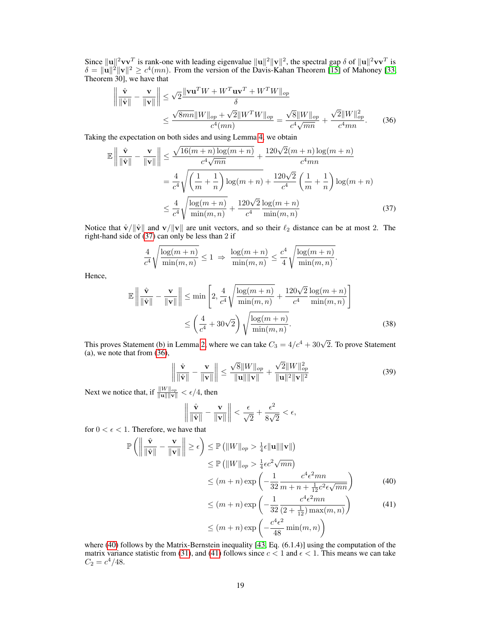Since  $\|\mathbf{u}\|^2 \mathbf{v} \mathbf{v}^T$  is rank-one with leading eigenvalue  $\|\mathbf{u}\|^2 \|\mathbf{v}\|^2$ , the spectral gap  $\delta$  of  $\|\mathbf{u}\|^2 \mathbf{v} \mathbf{v}^T$  is  $\delta = ||\mathbf{u}||^2 ||\mathbf{v}||^2 \ge c^4(mn)$ . From the version of the Davis-Kahan Theorem [\[15\]](#page-12-16) of Mahoney [\[33,](#page-13-18) Theorem 30], we have that

$$
\left\| \frac{\hat{\mathbf{v}}}{\|\hat{\mathbf{v}}\|} - \frac{\mathbf{v}}{\|\mathbf{v}\|} \right\| \leq \sqrt{2} \frac{\|\mathbf{v}\mathbf{u}^T W + W^T \mathbf{u}\mathbf{v}^T + W^T W\|_{op}}{\delta}
$$

$$
\leq \frac{\sqrt{8mn} \|W\|_{op} + \sqrt{2} \|W^T W\|_{op}}{c^4 (mn)} = \frac{\sqrt{8} \|W\|_{op}}{c^4 \sqrt{mn}} + \frac{\sqrt{2} \|W\|_{op}^2}{c^4 mn}.
$$
 (36)

Taking the expectation on both sides and using Lemma [4,](#page-16-5) we obtain

$$
\mathbb{E}\left\|\frac{\hat{\mathbf{v}}}{\|\hat{\mathbf{v}}\|} - \frac{\mathbf{v}}{\|\mathbf{v}\|}\right\| \le \frac{\sqrt{16(m+n)\log(m+n)}}{c^4\sqrt{mn}} + \frac{120\sqrt{2}(m+n)\log(m+n)}{c^4mn} \n= \frac{4}{c^4} \sqrt{\left(\frac{1}{m} + \frac{1}{n}\right) \log(m+n)} + \frac{120\sqrt{2}}{c^4} \left(\frac{1}{m} + \frac{1}{n}\right) \log(m+n) \n\le \frac{4}{c^4} \sqrt{\frac{\log(m+n)}{\min(m,n)}} + \frac{120\sqrt{2}\log(m+n)}{c^4 \min(m,n)}
$$
\n(37)

Notice that  $\hat{v}/\|\hat{v}\|$  and  $v/\|v\|$  are unit vectors, and so their  $\ell_2$  distance can be at most 2. The right-hand side of [\(37\)](#page-18-0) can only be less than 2 if

$$
\frac{4}{c^4} \sqrt{\frac{\log(m+n)}{\min(m,n)}} \le 1 \implies \frac{\log(m+n)}{\min(m,n)} \le \frac{c^4}{4} \sqrt{\frac{\log(m+n)}{\min(m,n)}}
$$

Hence,

$$
\mathbb{E}\left\|\frac{\hat{\mathbf{v}}}{\|\hat{\mathbf{v}}\|} - \frac{\mathbf{v}}{\|\mathbf{v}\|}\right\| \le \min\left[2, \frac{4}{c^4} \sqrt{\frac{\log(m+n)}{\min(m,n)}} + \frac{120\sqrt{2}}{c^4} \frac{\log(m+n)}{\min(m,n)}\right]
$$

$$
\le \left(\frac{4}{c^4} + 30\sqrt{2}\right) \sqrt{\frac{\log(m+n)}{\min(m,n)}}.
$$
(38)

This proves Statement (b) in Lemma [2,](#page-5-3) where we can take  $C_3 = 4/c^4 + 30\sqrt{2}$ . To prove Statement (a), we note that from [\(36\)](#page-18-1), √

$$
\left\| \frac{\hat{\mathbf{v}}}{\|\hat{\mathbf{v}}\|} - \frac{\mathbf{v}}{\|\mathbf{v}\|} \right\| \le \frac{\sqrt{8} \|W\|_{op}}{\|\mathbf{u}\| \|\mathbf{v}\|} + \frac{\sqrt{2} \|W\|_{op}^2}{\|\mathbf{u}\|^2 \|\mathbf{v}\|^2}
$$
(39)

<span id="page-18-1"></span><span id="page-18-0"></span>.

Next we notice that, if  $\frac{\|W\|_{op}}{\|{\bf u}\| \|\mathbf{v}\|} < \epsilon/4$ , then

$$
\left\|\frac{\hat{\mathbf{v}}}{\|\hat{\mathbf{v}}\|} - \frac{\mathbf{v}}{\|\mathbf{v}\|}\right\| < \frac{\epsilon}{\sqrt{2}} + \frac{\epsilon^2}{8\sqrt{2}} < \epsilon,
$$

for  $0 < \epsilon < 1$ . Therefore, we have that

$$
\mathbb{P}\left(\left\|\frac{\hat{\mathbf{v}}}{\|\hat{\mathbf{v}}\|} - \frac{\mathbf{v}}{\|\mathbf{v}\|}\right\| \ge \epsilon\right) \le \mathbb{P}\left(\|W\|_{op} > \frac{1}{4}\epsilon \|\mathbf{u}\| \|\mathbf{v}\|\right)
$$
  
\n
$$
\le \mathbb{P}\left(\|W\|_{op} > \frac{1}{4}\epsilon c^2 \sqrt{mn}\right)
$$
  
\n
$$
\le (m+n)\exp\left(-\frac{1}{32}\frac{c^4 \epsilon^2 mn}{m+n+\frac{1}{12}c^2 \epsilon \sqrt{mn}}\right)
$$
(40)

<span id="page-18-3"></span><span id="page-18-2"></span>
$$
\leq (m+n) \exp\left(-\frac{1}{32} \frac{c^4 \epsilon^2 mn}{(2+\frac{1}{12}) \max(m,n)}\right) \tag{41}
$$
\n
$$
\leq (m+n) \exp\left(-\frac{c^4 \epsilon^2}{48} \min(m,n)\right)
$$

where [\(40\)](#page-18-2) follows by the Matrix-Bernstein inequality [\[43,](#page-14-10) Eq. (6.1.4)] using the computation of the matrix variance statistic from [\(31\)](#page-17-1), and [\(41\)](#page-18-3) follows since  $c < 1$  and  $\epsilon < 1$ . This means we can take  $C_2 = c^4/48.$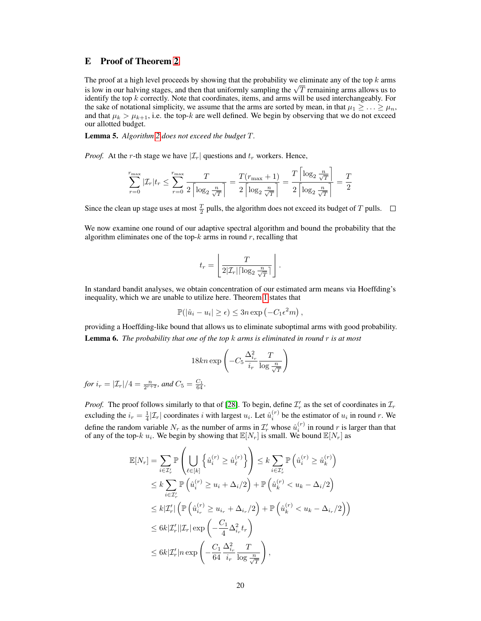### <span id="page-19-0"></span>E Proof of Theorem [2](#page-6-4)

The proof at a high level proceeds by showing that the probability we eliminate any of the top  $k$  arms The proof at a high level proceeds by showing that the probability we eliminate any of the top  $\kappa$  arms is low in our halving stages, and then that uniformly sampling the  $\sqrt{T}$  remaining arms allows us to identify the top k correctly. Note that coordinates, items, and arms will be used interchangeably. For the sake of notational simplicity, we assume that the arms are sorted by mean, in that  $\mu_1 \geq \ldots \geq \mu_n$ , and that  $\mu_k > \mu_{k+1}$ , i.e. the top-k are well defined. We begin by observing that we do not exceed our allotted budget.

Lemma 5. *Algorithm [2](#page-6-1) does not exceed the budget* T*.*

*Proof.* At the r-th stage we have  $|\mathcal{I}_r|$  questions and  $t_r$  workers. Hence,

$$
\sum_{r=0}^{r_{\text{max}}} |\mathcal{I}_r| t_r \le \sum_{r=0}^{r_{\text{max}}} \frac{T}{2\left\lceil \log_2 \frac{n}{\sqrt{T}} \right\rceil} = \frac{T(r_{\text{max}}+1)}{2\left\lceil \log_2 \frac{n}{\sqrt{T}} \right\rceil} = \frac{T}{2\left\lceil \log_2 \frac{n}{\sqrt{T}} \right\rceil} = \frac{T}{2}
$$

Since the clean up stage uses at most  $\frac{T}{2}$  pulls, the algorithm does not exceed its budget of T pulls.

We now examine one round of our adaptive spectral algorithm and bound the probability that the algorithm eliminates one of the top- $k$  arms in round  $r$ , recalling that

$$
t_r = \left\lfloor \frac{T}{2|\mathcal{I}_r|\lceil \log_2 \frac{n}{\sqrt{T}} \rceil} \right\rfloor.
$$

In standard bandit analyses, we obtain concentration of our estimated arm means via Hoeffding's inequality, which we are unable to utilize here. Theorem [1](#page-4-2) states that

$$
\mathbb{P}(|\hat{u}_i - u_i| \ge \epsilon) \le 3n \exp(-C_1 \epsilon^2 m),
$$

providing a Hoeffding-like bound that allows us to eliminate suboptimal arms with good probability. Lemma 6. *The probability that one of the top* k *arms is eliminated in round* r *is at most*

$$
18kn\exp\left(-C_5\frac{\Delta_{i_r}^2}{i_r}\frac{T}{\log\frac{n}{\sqrt{T}}}\right)
$$

*for*  $i_r = |\mathcal{I}_r|/4 = \frac{n}{2^{r+2}}$ *, and*  $C_5 = \frac{C_1}{64}$ *.* 

*Proof.* The proof follows similarly to that of [\[28\]](#page-13-5). To begin, define  $\mathcal{I}'_r$  as the set of coordinates in  $\mathcal{I}_r$ excluding the  $i_r = \frac{1}{4} |\mathcal{I}_r|$  coordinates i with largest  $u_i$ . Let  $\hat{u}_i^{(r)}$  be the estimator of  $u_i$  in round r. We define the random variable  $N_r$  as the number of arms in  $\mathcal{I}'_r$  whose  $\hat{u}^{(r)}_i$  in round r is larger than that of any of the top- $k \ u_i$ . We begin by showing that  $\mathbb{E}[N_r]$  is small. We bound  $\mathbb{E}[N_r]$  as

$$
\mathbb{E}[N_r] = \sum_{i \in \mathcal{I}'_r} \mathbb{P}\left(\bigcup_{\ell \in [k]} \left\{\hat{u}_i^{(r)} \ge \hat{u}_\ell^{(r)}\right\}\right) \le k \sum_{i \in \mathcal{I}'_r} \mathbb{P}\left(\hat{u}_i^{(r)} \ge \hat{u}_k^{(r)}\right)
$$
\n
$$
\le k \sum_{i \in \mathcal{I}'_r} \mathbb{P}\left(\hat{u}_i^{(r)} \ge u_i + \Delta_i/2\right) + \mathbb{P}\left(\hat{u}_k^{(r)} < u_k - \Delta_i/2\right)
$$
\n
$$
\le k |\mathcal{I}'_r| \left(\mathbb{P}\left(\hat{u}_{i_r}^{(r)} \ge u_{i_r} + \Delta_{i_r}/2\right) + \mathbb{P}\left(\hat{u}_k^{(r)} < u_k - \Delta_{i_r}/2\right)\right)
$$
\n
$$
\le 6k |\mathcal{I}'_r| |\mathcal{I}_r| \exp\left(-\frac{C_1}{4} \Delta_{i_r}^2 t_r\right)
$$
\n
$$
\le 6k |\mathcal{I}'_r| n \exp\left(-\frac{C_1}{64} \frac{\Delta_{i_r}^2}{i_r} \frac{T}{\log \frac{n}{\sqrt{T}}}\right),
$$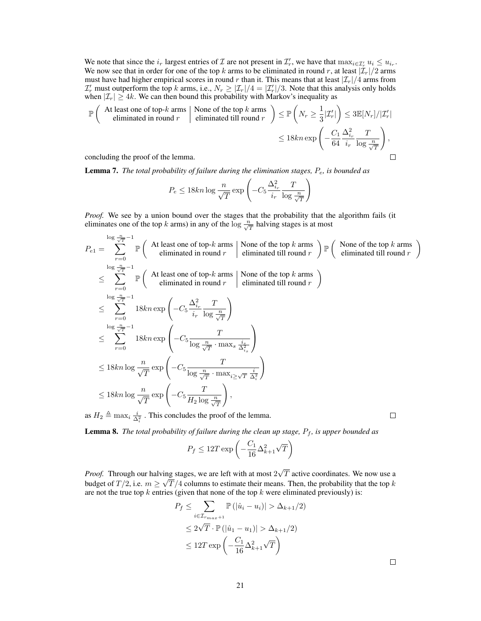We note that since the  $i_r$  largest entries of  $\mathcal I$  are not present in  $\mathcal I'_r$ , we have that  $\max_{i\in\mathcal I'_r}u_i\leq u_{i_r}$ . We now see that in order for one of the top k arms to be eliminated in round r, at least  $|\mathcal{I}_r|/2$  arms must have had higher empirical scores in round r than it. This means that at least  $|\mathcal{I}_r|/4$  arms from  $\mathcal{I}'_r$  must outperform the top k arms, i.e.,  $N_r \geq |\mathcal{I}_r|/4 = |\mathcal{I}'_r|/3$ . Note that this analysis only holds when  $|\mathcal{I}_r| \geq 4k$ . We can then bound this probability with Markov's inequality as

$$
\mathbb{P}\left(\begin{array}{c|c}\text{At least one of top-}k \text{ arms} & \text{None of the top }k \text{ arms}\\\text{eliminated in round }r & \text{eliminated till round }r\end{array}\right) \leq \mathbb{P}\left(N_r \geq \frac{1}{3}|\mathcal{I}'_r|\right) \leq 3\mathbb{E}[N_r]/|\mathcal{I}'_r|\\\leq 18kn \exp\left(-\frac{C_1}{64} \frac{\Delta_{i_r}^2}{i_r} \frac{T}{\log \frac{n}{\sqrt{T}}}\right),\qquad \qquad \square
$$

Lemma 7. *The total probability of failure during the elimination stages, P<sub>e</sub>, is bounded as* 

$$
P_e \le 18kn \log \frac{n}{\sqrt{T}} \exp \left(-C_5 \frac{\Delta_{i_r}^2}{i_r} \frac{T}{\log \frac{n}{\sqrt{T}}}\right)
$$

*Proof.* We see by a union bound over the stages that the probability that the algorithm fails (it eliminates one of the top k arms) in any of the  $\log \frac{n}{\sqrt{T}}$  halving stages is at most

$$
P_{e1} = \sum_{r=0}^{\log \frac{n}{\sqrt{T}}-1} \mathbb{P} \left( \begin{array}{c} \text{At least one of top-}k \text{ arms} \\ \text{eliminated in round }r \end{array} \middle| \text{ None of the top } k \text{ arms} \right) \mathbb{P} \left( \begin{array}{c} \text{None of the top } k \text{ arms} \\ \text{eliminated till round }r \end{array} \right)
$$
  
\n
$$
\leq \sum_{r=0}^{\log \frac{n}{\sqrt{T}}-1} \mathbb{P} \left( \begin{array}{c} \text{At least one of top-}k \text{ arms} \\ \text{eliminated in round }r \end{array} \middle| \text{ None of the top } k \text{ arms} \right)
$$
  
\n
$$
\leq \sum_{r=0}^{\log \frac{n}{\sqrt{T}}-1} 18kn \exp \left( -C_5 \frac{\Delta_{i_r}^2}{i_r} \frac{T}{\log \frac{n}{\sqrt{T}}} \right)
$$
  
\n
$$
\leq \sum_{r=0}^{\log \frac{n}{\sqrt{T}}-1} 18kn \exp \left( -C_5 \frac{T}{\log \frac{n}{\sqrt{T}} \cdot \max_s \frac{i_s}{\Delta_{i_s}^2}} \right)
$$
  
\n
$$
\leq 18kn \log \frac{n}{\sqrt{T}} \exp \left( -C_5 \frac{T}{\log \frac{n}{\sqrt{T}} \cdot \max_{i \geq \sqrt{T}} \frac{i}{\Delta_i^2}} \right)
$$
  
\n
$$
\leq 18kn \log \frac{n}{\sqrt{T}} \exp \left( -C_5 \frac{T}{H_2 \log \frac{n}{\sqrt{T}}} \right),
$$
  
\nas  $H_2 \triangleq \max_i \frac{i_s}{\Delta_i^2}$ . This concludes the proof of the lemma.

as  $H_2 \triangleq \max_i \frac{i}{\Delta_i^2}$ . This concludes the proof of the lemma.

**Lemma 8.** *The total probability of failure during the clean up stage,*  $P_f$ *, is upper bounded as* 

$$
P_f \leq 12T\exp\left(-\frac{C_1}{16}\Delta_{k+1}^2\sqrt{T}\right)
$$

*Proof.* Through our halving stages, we are left with at most 2 √ ing stages, we are left with at most  $2\sqrt{T}$  active coordinates. We now use a budget of  $T/2$ , i.e.  $m \geq \sqrt{T/4}$  columns to estimate their means. Then, the probability that the top k are not the true top k entries (given that none of the top k were eliminated previously) is:

$$
P_f \leq \sum_{i \in \mathcal{I}_{r_{max}+1}} \mathbb{P}(|\hat{u}_i - u_i)| > \Delta_{k+1}/2)
$$
  

$$
\leq 2\sqrt{T} \cdot \mathbb{P}(|\hat{u}_1 - u_1)| > \Delta_{k+1}/2)
$$
  

$$
\leq 12T \exp\left(-\frac{C_1}{16}\Delta_{k+1}^2\sqrt{T}\right)
$$

 $\Box$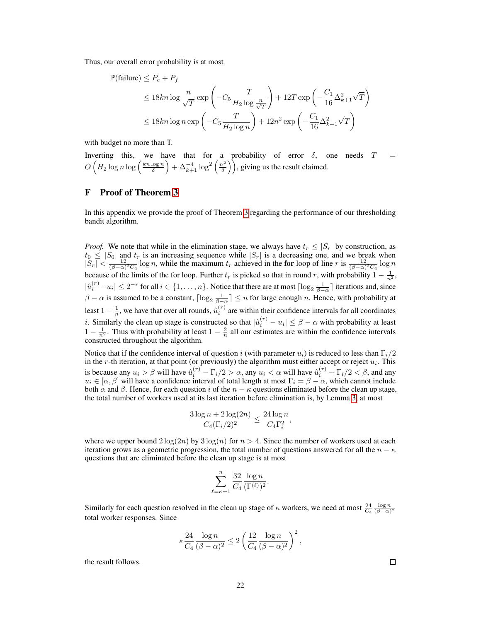Thus, our overall error probability is at most

$$
\mathbb{P}(\text{failure}) \le P_e + P_f
$$
  
\n
$$
\le 18kn \log \frac{n}{\sqrt{T}} \exp \left(-C_5 \frac{T}{H_2 \log \frac{n}{\sqrt{T}}}\right) + 12T \exp \left(-\frac{C_1}{16} \Delta_{k+1}^2 \sqrt{T}\right)
$$
  
\n
$$
\le 18kn \log n \exp \left(-C_5 \frac{T}{H_2 \log n}\right) + 12n^2 \exp \left(-\frac{C_1}{16} \Delta_{k+1}^2 \sqrt{T}\right)
$$

with budget no more than T.

Inverting this, we have that for a probability of error  $\delta$ , one needs  $T =$  $O\left(H_2\log n\log\left(\frac{kn\log n}{\delta}\right)+\Delta_{k+1}^{-4}\log^2\left(\frac{n^2}{\delta}\right)\right)$  $\left(\frac{h^2}{\delta}\right)$ , giving us the result claimed.

### <span id="page-21-0"></span>F Proof of Theorem [3](#page-9-1)

In this appendix we provide the proof of Theorem [3](#page-9-1) regarding the performance of our thresholding bandit algorithm.

*Proof.* We note that while in the elimination stage, we always have  $t_r \leq |S_r|$  by construction, as  $t_0 \leq |S_0|$  and  $t_r$  is an increasing sequence while  $|S_r|$  is a decreasing one, and we break when  $|S_r| < \frac{12}{(\beta - \alpha)^2 C_4} \log n$ , while the maximum  $t_r$  achieved in the for loop of line r is  $\frac{12}{(\beta - \alpha)^2 C_4} \log n$ because of the limits of the for loop. Further  $t_r$  is picked so that in round r, with probability  $1 - \frac{1}{n^2}$ ,  $|\hat{u}_i^{(r)} - u_i| \leq 2^{-r}$  for all  $i \in \{1, ..., n\}$ . Notice that there are at most  $\lceil \log_2 \frac{1}{\beta - \alpha} \rceil$  iterations and, since  $\beta - \alpha$  is assumed to be a constant,  $\lceil \log_2 \frac{1}{\beta - \alpha} \rceil \le n$  for large enough n. Hence, with probability at least  $1 - \frac{1}{n}$ , we have that over all rounds,  $\hat{u}_i^{(r)}$  are within their confidence intervals for all coordinates *i*. Similarly the clean up stage is constructed so that  $|\hat{u}_i^{(r)} - u_i| \leq \beta - \alpha$  with probability at least  $1 - \frac{1}{n^2}$ . Thus with probability at least  $1 - \frac{2}{n}$  all our estimates are within the confidence intervals constructed throughout the algorithm.

Notice that if the confidence interval of question i (with parameter  $u_i$ ) is reduced to less than  $\Gamma_i/2$ in the r-th iteration, at that point (or previously) the algorithm must either accept or reject  $u_i$ . This is because any  $u_i > \beta$  will have  $\hat{u}_i^{(r)} - \Gamma_i/2 > \alpha$ , any  $u_i < \alpha$  will have  $\hat{u}_i^{(r)} + \Gamma_i/2 < \beta$ , and any  $u_i \in [\alpha, \beta]$  will have a confidence interval of total length at most  $\Gamma_i = \beta - \alpha$ , which cannot include both  $\alpha$  and  $\beta$ . Hence, for each question i of the  $n - \kappa$  questions eliminated before the clean up stage, the total number of workers used at its last iteration before elimination is, by Lemma [3,](#page-7-3) at most

$$
\frac{3\log n + 2\log(2n)}{C_4(\Gamma_i/2)^2} \le \frac{24\log n}{C_4\Gamma_i^2},
$$

where we upper bound  $2\log(2n)$  by  $3\log(n)$  for  $n > 4$ . Since the number of workers used at each iteration grows as a geometric progression, the total number of questions answered for all the  $n - \kappa$ questions that are eliminated before the clean up stage is at most

$$
\sum_{\ell=\kappa+1}^n \frac{32}{C_4} \frac{\log n}{(\Gamma^{(\ell)})^2}.
$$

Similarly for each question resolved in the clean up stage of  $\kappa$  workers, we need at most  $\frac{24}{C_4} \frac{\log n}{(\beta - \alpha)^2}$ total worker responses. Since

$$
\kappa \frac{24}{C_4} \frac{\log n}{(\beta - \alpha)^2} \le 2 \left( \frac{12}{C_4} \frac{\log n}{(\beta - \alpha)^2} \right)^2,
$$

the result follows.

 $\Box$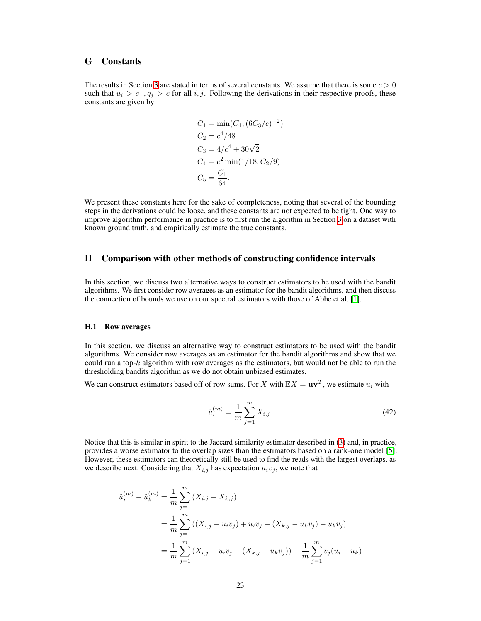### <span id="page-22-0"></span>G Constants

The results in Section [3](#page-4-0) are stated in terms of several constants. We assume that there is some  $c > 0$ such that  $u_i > c$ ,  $q_i > c$  for all i, j. Following the derivations in their respective proofs, these constants are given by

$$
C_1 = \min(C_4, (6C_3/c)^{-2})
$$
  
\n
$$
C_2 = c^4/48
$$
  
\n
$$
C_3 = 4/c^4 + 30\sqrt{2}
$$
  
\n
$$
C_4 = c^2 \min(1/18, C_2/9)
$$
  
\n
$$
C_5 = \frac{C_1}{64}.
$$

We present these constants here for the sake of completeness, noting that several of the bounding steps in the derivations could be loose, and these constants are not expected to be tight. One way to improve algorithm performance in practice is to first run the algorithm in Section [3](#page-4-0) on a dataset with known ground truth, and empirically estimate the true constants.

## H Comparison with other methods of constructing confidence intervals

In this section, we discuss two alternative ways to construct estimators to be used with the bandit algorithms. We first consider row averages as an estimator for the bandit algorithms, and then discuss the connection of bounds we use on our spectral estimators with those of Abbe et al. [\[1\]](#page-12-3).

### H.1 Row averages

In this section, we discuss an alternative way to construct estimators to be used with the bandit algorithms. We consider row averages as an estimator for the bandit algorithms and show that we could run a top- $k$  algorithm with row averages as the estimators, but would not be able to run the thresholding bandits algorithm as we do not obtain unbiased estimates.

We can construct estimators based off of row sums. For X with  $\mathbb{E}X = uv^T$ , we estimate  $u_i$  with

$$
\hat{u}_i^{(m)} = \frac{1}{m} \sum_{j=1}^m X_{i,j}.
$$
\n(42)

Notice that this is similar in spirit to the Jaccard similarity estimator described in [\(3\)](#page-1-1) and, in practice, provides a worse estimator to the overlap sizes than the estimators based on a rank-one model [\[5\]](#page-12-2). However, these estimators can theoretically still be used to find the reads with the largest overlaps, as we describe next. Considering that  $X_{i,j}$  has expectation  $u_i v_j$ , we note that

$$
\hat{u}_i^{(m)} - \hat{u}_k^{(m)} = \frac{1}{m} \sum_{j=1}^m (X_{i,j} - X_{k,j})
$$
  
= 
$$
\frac{1}{m} \sum_{j=1}^m ((X_{i,j} - u_i v_j) + u_i v_j - (X_{k,j} - u_k v_j) - u_k v_j)
$$
  
= 
$$
\frac{1}{m} \sum_{j=1}^m (X_{i,j} - u_i v_j - (X_{k,j} - u_k v_j)) + \frac{1}{m} \sum_{j=1}^m v_j (u_i - u_k)
$$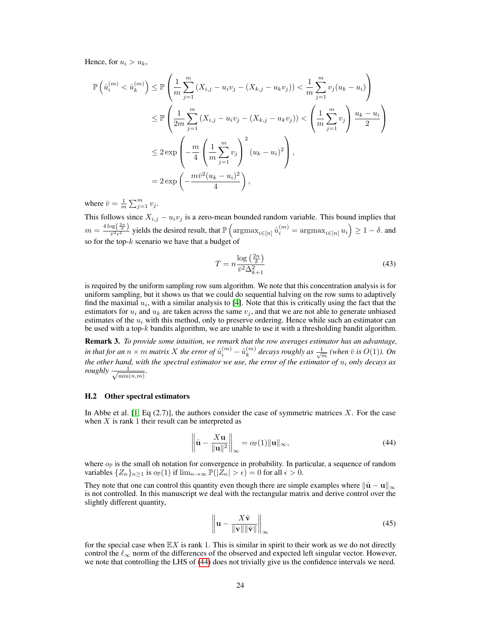Hence, for  $u_i > u_k$ ,

$$
\mathbb{P}\left(\hat{u}_i^{(m)} < \hat{u}_k^{(m)}\right) \le \mathbb{P}\left(\frac{1}{m} \sum_{j=1}^m (X_{i,j} - u_i v_j - (X_{k,j} - u_k v_j)) < \frac{1}{m} \sum_{j=1}^m v_j (u_k - u_i)\right) \\
\le \mathbb{P}\left(\frac{1}{2m} \sum_{j=1}^m (X_{i,j} - u_i v_j - (X_{k,j} - u_k v_j)) < \left(\frac{1}{m} \sum_{j=1}^m v_j\right) \frac{u_k - u_i}{2}\right) \\
\le 2 \exp\left(-\frac{m}{4} \left(\frac{1}{m} \sum_{j=1}^m v_j\right)^2 (u_k - u_i)^2\right), \\
= 2 \exp\left(-\frac{m \bar{v}^2 (u_k - u_i)^2}{4}\right),
$$

where  $\bar{v} = \frac{1}{m} \sum_{j=1}^{m} v_j$ .

This follows since  $X_{i,j} - u_i v_j$  is a zero-mean bounded random variable. This bound implies that  $m = \frac{4 \log(\frac{2n}{\delta})}{\bar{v}^2 \epsilon^2}$  yields the desired result, that  $\mathbb{P}\left(\arg\max_{i \in [n]} \hat{u}_i^{(m)} = \arg\max_{i \in [n]} u_i\right) \ge 1 - \delta$ . and so for the top- $k$  scenario we have that a budget of

$$
T = n \frac{\log\left(\frac{2n}{\delta}\right)}{\overline{v}^2 \Delta_{k+1}^2} \tag{43}
$$

is required by the uniform sampling row sum algorithm. We note that this concentration analysis is for uniform sampling, but it shows us that we could do sequential halving on the row sums to adaptively find the maximal  $u_i$ , with a similar analysis to [\[4\]](#page-12-10). Note that this is critically using the fact that the estimators for  $u_i$  and  $u_k$  are taken across the same  $v_j$ , and that we are not able to generate unbiased estimates of the  $u_i$  with this method, only to preserve ordering. Hence while such an estimator can be used with a top-k bandits algorithm, we are unable to use it with a thresholding bandit algorithm.

Remark 3. *To provide some intuition, we remark that the row averages estimator has an advantage,* in that for an  $n \times m$  matrix  $X$  the error of  $\hat{u}^{(m)}_i - \hat{u}^{(m)}_k$  $\frac{d^{(m)}}{dx^{(m)}}$  decays roughly as  $\frac{1}{\sqrt{m}}$  (when  $\bar{v}$  is  $O(1)$ ). On *the other hand, with the spectral estimator we use, the error of the estimator of* u<sup>i</sup> *only decays as roughly*  $\frac{1}{\sqrt{1-\frac{1}{n}}}$  $\frac{1}{\min(n,m)}$ .

### H.2 Other spectral estimators

In Abbe et al.  $[1, Eq (2.7)]$  $[1, Eq (2.7)]$ , the authors consider the case of symmetric matrices X. For the case when  $X$  is rank 1 their result can be interpreted as

$$
\left\|\hat{\mathbf{u}} - \frac{X\mathbf{u}}{\|\mathbf{u}\|^2}\right\|_{\infty} = o_{\mathbb{P}}(1) \|\mathbf{u}\|_{\infty},\tag{44}
$$

where  $o_{\mathbb{P}}$  is the small oh notation for convergence in probability. In particular, a sequence of random variables  $\{Z_n\}_{n\geq 1}$  is  $o_{\mathbb{P}}(1)$  if  $\lim_{n\to\infty} \mathbb{P}(|Z_n| > \epsilon) = 0$  for all  $\epsilon > 0$ .

They note that one can control this quantity even though there are simple examples where  $\|\hat{\mathbf{u}} - \mathbf{u}\|_{\infty}$ is not controlled. In this manuscript we deal with the rectangular matrix and derive control over the slightly different quantity,

<span id="page-23-0"></span>
$$
\left\| \mathbf{u} - \frac{X\hat{\mathbf{v}}}{\|\mathbf{v}\| \|\hat{\mathbf{v}}\|} \right\|_{\infty} \tag{45}
$$

for the special case when  $\mathbb{E}X$  is rank 1. This is similar in spirit to their work as we do not directly control the  $\ell_{\infty}$  norm of the differences of the observed and expected left singular vector. However, we note that controlling the LHS of [\(44\)](#page-23-0) does not trivially give us the confidence intervals we need.